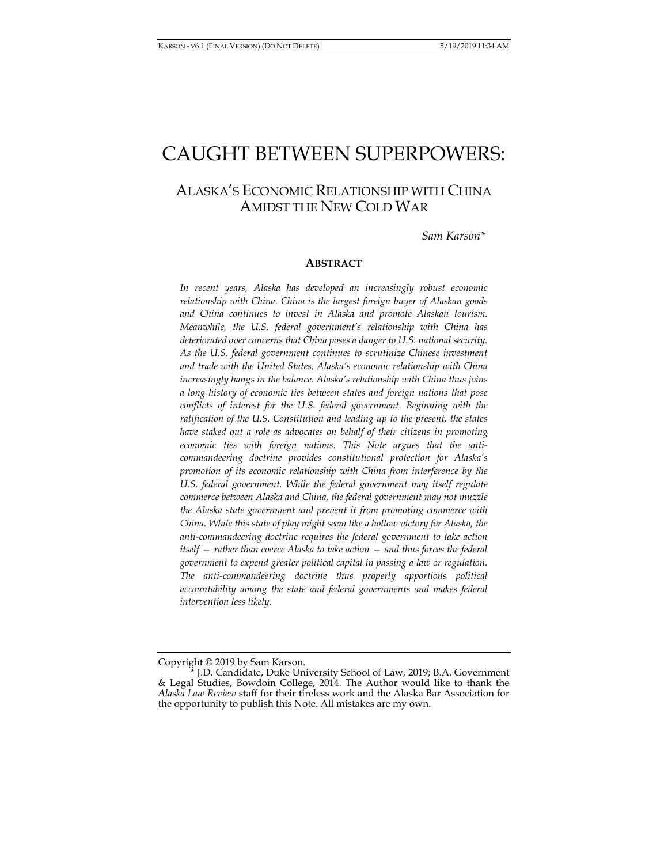# CAUGHT BETWEEN SUPERPOWERS:

# ALASKA'S ECONOMIC RELATIONSHIP WITH CHINA AMIDST THE NEW COLD WAR

*Sam Karson\** 

#### **ABSTRACT**

*In recent years, Alaska has developed an increasingly robust economic relationship with China. China is the largest foreign buyer of Alaskan goods and China continues to invest in Alaska and promote Alaskan tourism. Meanwhile, the U.S. federal government's relationship with China has deteriorated over concerns that China poses a danger to U.S. national security. As the U.S. federal government continues to scrutinize Chinese investment and trade with the United States, Alaska's economic relationship with China increasingly hangs in the balance. Alaska's relationship with China thus joins a long history of economic ties between states and foreign nations that pose conflicts of interest for the U.S. federal government. Beginning with the*  ratification of the U.S. Constitution and leading up to the present, the states *have staked out a role as advocates on behalf of their citizens in promoting economic ties with foreign nations. This Note argues that the anticommandeering doctrine provides constitutional protection for Alaska's promotion of its economic relationship with China from interference by the U.S. federal government. While the federal government may itself regulate commerce between Alaska and China, the federal government may not muzzle the Alaska state government and prevent it from promoting commerce with China. While this state of play might seem like a hollow victory for Alaska, the anti-commandeering doctrine requires the federal government to take action itself — rather than coerce Alaska to take action — and thus forces the federal government to expend greater political capital in passing a law or regulation. The anti-commandeering doctrine thus properly apportions political accountability among the state and federal governments and makes federal intervention less likely.* 

Copyright © 2019 by Sam Karson.

J.D. Candidate, Duke University School of Law, 2019; B.A. Government & Legal Studies, Bowdoin College, 2014. The Author would like to thank the *Alaska Law Review* staff for their tireless work and the Alaska Bar Association for the opportunity to publish this Note. All mistakes are my own.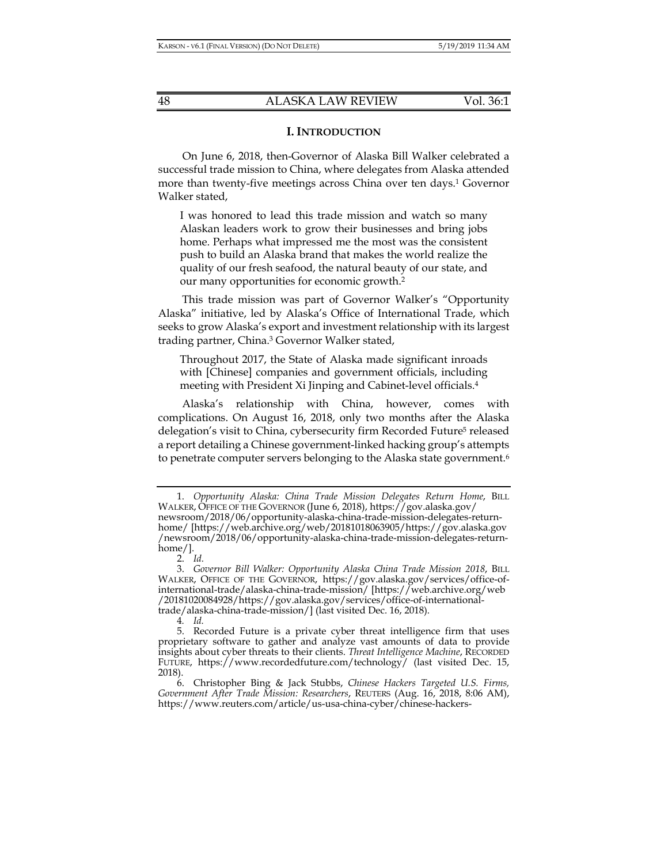## **I. INTRODUCTION**

On June 6, 2018, then-Governor of Alaska Bill Walker celebrated a successful trade mission to China, where delegates from Alaska attended more than twenty-five meetings across China over ten days.1 Governor Walker stated,

I was honored to lead this trade mission and watch so many Alaskan leaders work to grow their businesses and bring jobs home. Perhaps what impressed me the most was the consistent push to build an Alaska brand that makes the world realize the quality of our fresh seafood, the natural beauty of our state, and our many opportunities for economic growth.2

This trade mission was part of Governor Walker's "Opportunity Alaska" initiative, led by Alaska's Office of International Trade, which seeks to grow Alaska's export and investment relationship with its largest trading partner, China.3 Governor Walker stated,

Throughout 2017, the State of Alaska made significant inroads with [Chinese] companies and government officials, including meeting with President Xi Jinping and Cabinet-level officials.4

Alaska's relationship with China, however, comes with complications. On August 16, 2018, only two months after the Alaska delegation's visit to China, cybersecurity firm Recorded Future<sup>5</sup> released a report detailing a Chinese government-linked hacking group's attempts to penetrate computer servers belonging to the Alaska state government.<sup>6</sup>

 <sup>1.</sup> *Opportunity Alaska: China Trade Mission Delegates Return Home*, BILL WALKER, OFFICE OF THE GOVERNOR (June 6, 2018), https://gov.alaska.gov/ newsroom/2018/06/opportunity-alaska-china-trade-mission-delegates-returnhome/ [https://web.archive.org/web/20181018063905/https://gov.alaska.gov /newsroom/2018/06/opportunity-alaska-china-trade-mission-delegates-returnhome/].

 <sup>2.</sup> *Id.*

 <sup>3.</sup> *Governor Bill Walker: Opportunity Alaska China Trade Mission 2018*, BILL WALKER, OFFICE OF THE GOVERNOR, https://gov.alaska.gov/services/office-ofinternational-trade/alaska-china-trade-mission/ [https://web.archive.org/web /20181020084928/https://gov.alaska.gov/services/office-of-internationaltrade/alaska-china-trade-mission/] (last visited Dec. 16, 2018).

<sup>4</sup>*. Id.*

 <sup>5.</sup> Recorded Future is a private cyber threat intelligence firm that uses proprietary software to gather and analyze vast amounts of data to provide insights about cyber threats to their clients. *Threat Intelligence Machine*, RECORDED FUTURE, https://www.recordedfuture.com/technology/ (last visited Dec. 15, 2018).

 <sup>6.</sup> Christopher Bing & Jack Stubbs, *Chinese Hackers Targeted U.S. Firms, Government After Trade Mission: Researchers*, REUTERS (Aug. 16, 2018, 8:06 AM), https://www.reuters.com/article/us-usa-china-cyber/chinese-hackers-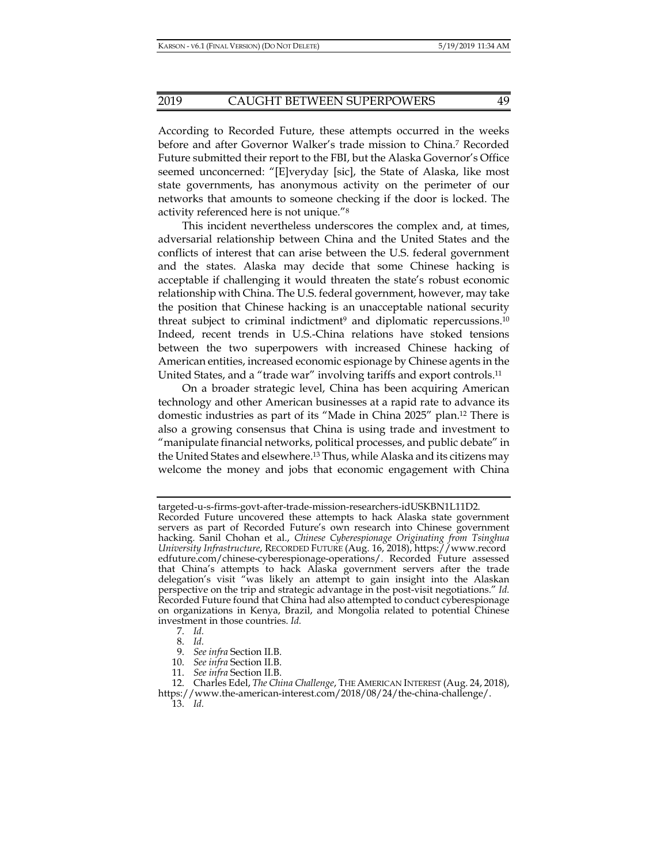According to Recorded Future, these attempts occurred in the weeks before and after Governor Walker's trade mission to China.7 Recorded Future submitted their report to the FBI, but the Alaska Governor's Office seemed unconcerned: "[E]veryday [sic], the State of Alaska, like most state governments, has anonymous activity on the perimeter of our networks that amounts to someone checking if the door is locked. The activity referenced here is not unique."8

This incident nevertheless underscores the complex and, at times, adversarial relationship between China and the United States and the conflicts of interest that can arise between the U.S. federal government and the states. Alaska may decide that some Chinese hacking is acceptable if challenging it would threaten the state's robust economic relationship with China. The U.S. federal government, however, may take the position that Chinese hacking is an unacceptable national security threat subject to criminal indictment<sup>9</sup> and diplomatic repercussions.<sup>10</sup> Indeed, recent trends in U.S.-China relations have stoked tensions between the two superpowers with increased Chinese hacking of American entities, increased economic espionage by Chinese agents in the United States, and a "trade war" involving tariffs and export controls.11

On a broader strategic level, China has been acquiring American technology and other American businesses at a rapid rate to advance its domestic industries as part of its "Made in China 2025" plan.12 There is also a growing consensus that China is using trade and investment to "manipulate financial networks, political processes, and public debate" in the United States and elsewhere.13 Thus, while Alaska and its citizens may welcome the money and jobs that economic engagement with China

targeted-u-s-firms-govt-after-trade-mission-researchers-idUSKBN1L11D2. Recorded Future uncovered these attempts to hack Alaska state government servers as part of Recorded Future's own research into Chinese government hacking. Sanil Chohan et al., *Chinese Cyberespionage Originating from Tsinghua University Infrastructure*, RECORDED FUTURE (Aug. 16, 2018), https://www.record edfuture.com/chinese-cyberespionage-operations/. Recorded Future assessed that China's attempts to hack Alaska government servers after the trade delegation's visit "was likely an attempt to gain insight into the Alaskan perspective on the trip and strategic advantage in the post-visit negotiations." *Id.* Recorded Future found that China had also attempted to conduct cyberespionage on organizations in Kenya, Brazil, and Mongolia related to potential Chinese investment in those countries. *Id.*

 <sup>7.</sup> *Id.*

 <sup>8.</sup> *Id.*

 <sup>9.</sup> *See infra* Section II.B.

 <sup>10.</sup> *See infra* Section II.B.

 <sup>11.</sup> *See infra* Section II.B.

 <sup>12.</sup> Charles Edel, *The China Challenge*, THE AMERICAN INTEREST (Aug. 24, 2018), https://www.the-american-interest.com/2018/08/24/the-china-challenge/.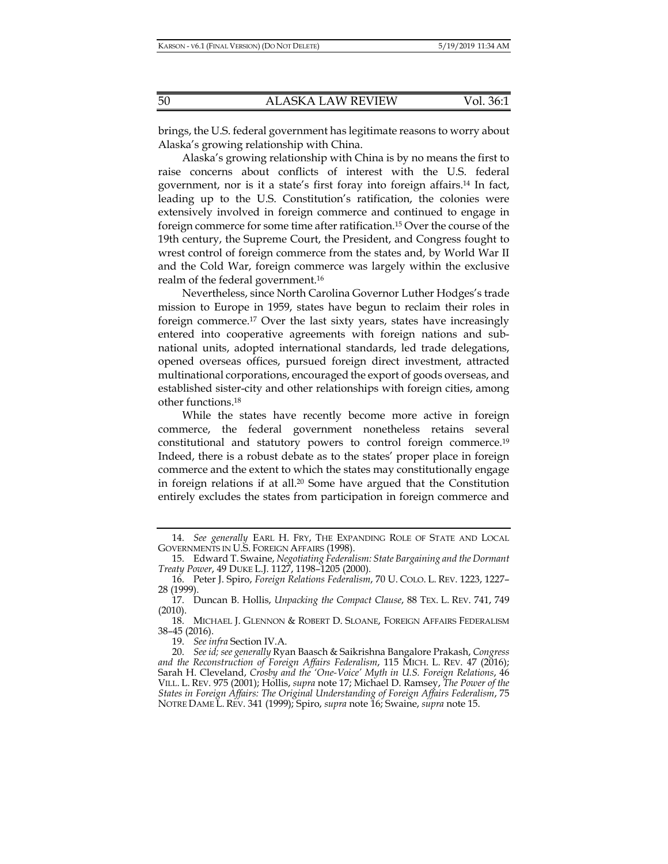brings, the U.S. federal government has legitimate reasons to worry about Alaska's growing relationship with China.

Alaska's growing relationship with China is by no means the first to raise concerns about conflicts of interest with the U.S. federal government, nor is it a state's first foray into foreign affairs.14 In fact, leading up to the U.S. Constitution's ratification, the colonies were extensively involved in foreign commerce and continued to engage in foreign commerce for some time after ratification.15 Over the course of the 19th century, the Supreme Court, the President, and Congress fought to wrest control of foreign commerce from the states and, by World War II and the Cold War, foreign commerce was largely within the exclusive realm of the federal government.16

Nevertheless, since North Carolina Governor Luther Hodges's trade mission to Europe in 1959, states have begun to reclaim their roles in foreign commerce.17 Over the last sixty years, states have increasingly entered into cooperative agreements with foreign nations and subnational units, adopted international standards, led trade delegations, opened overseas offices, pursued foreign direct investment, attracted multinational corporations, encouraged the export of goods overseas, and established sister-city and other relationships with foreign cities, among other functions.18

While the states have recently become more active in foreign commerce, the federal government nonetheless retains several constitutional and statutory powers to control foreign commerce.19 Indeed, there is a robust debate as to the states' proper place in foreign commerce and the extent to which the states may constitutionally engage in foreign relations if at all.20 Some have argued that the Constitution entirely excludes the states from participation in foreign commerce and

 <sup>14.</sup> *See generally* EARL H. FRY, THE EXPANDING ROLE OF STATE AND LOCAL GOVERNMENTS IN U.S. FOREIGN AFFAIRS (1998).

 <sup>15.</sup> Edward T. Swaine, *Negotiating Federalism: State Bargaining and the Dormant Treaty Power*, 49 DUKE L.J. 1127, 1198–1205 (2000).

 <sup>16.</sup> Peter J. Spiro, *Foreign Relations Federalism*, 70 U. COLO. L. REV. 1223, 1227– 28 (1999).

 <sup>17.</sup> Duncan B. Hollis, *Unpacking the Compact Clause*, 88 TEX. L. REV. 741, 749 (2010).

 <sup>18.</sup> MICHAEL J. GLENNON & ROBERT D. SLOANE, FOREIGN AFFAIRS FEDERALISM 38–45 (2016).

 <sup>19.</sup> *See infra* Section IV.A.

 <sup>20.</sup> *See id; see generally* Ryan Baasch & Saikrishna Bangalore Prakash, *Congress and the Reconstruction of Foreign Affairs Federalism*, 115 MICH. L. REV. 47 (2016); Sarah H. Cleveland, *Crosby and the 'One-Voice' Myth in U.S. Foreign Relations*, 46 VILL. L. REV. 975 (2001); Hollis, *supra* note 17; Michael D. Ramsey, *The Power of the States in Foreign Affairs: The Original Understanding of Foreign Affairs Federalism*, 75 NOTRE DAME L. REV. 341 (1999); Spiro, *supra* note 16; Swaine, *supra* note 15.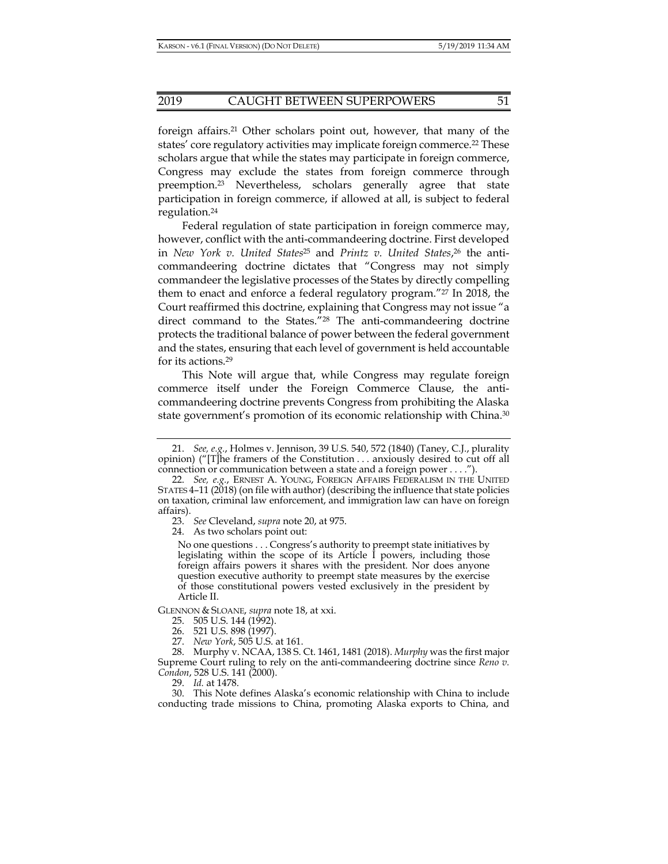#### 2019 CAUGHT BETWEEN SUPERPOWERS 51

foreign affairs.21 Other scholars point out, however, that many of the states' core regulatory activities may implicate foreign commerce.22 These scholars argue that while the states may participate in foreign commerce, Congress may exclude the states from foreign commerce through preemption.23 Nevertheless, scholars generally agree that state participation in foreign commerce, if allowed at all, is subject to federal regulation.24

Federal regulation of state participation in foreign commerce may, however, conflict with the anti-commandeering doctrine. First developed in *New York v. United States*25 and *Printz v. United States*, 26 the anticommandeering doctrine dictates that "Congress may not simply commandeer the legislative processes of the States by directly compelling them to enact and enforce a federal regulatory program."27 In 2018, the Court reaffirmed this doctrine, explaining that Congress may not issue "a direct command to the States."28 The anti-commandeering doctrine protects the traditional balance of power between the federal government and the states, ensuring that each level of government is held accountable for its actions.29

This Note will argue that, while Congress may regulate foreign commerce itself under the Foreign Commerce Clause, the anticommandeering doctrine prevents Congress from prohibiting the Alaska state government's promotion of its economic relationship with China.<sup>30</sup>

24. As two scholars point out:

No one questions . . . Congress's authority to preempt state initiatives by legislating within the scope of its Article I powers, including those foreign affairs powers it shares with the president. Nor does anyone question executive authority to preempt state measures by the exercise of those constitutional powers vested exclusively in the president by Article II.

GLENNON & SLOANE, *supra* note 18, at xxi.

29. *Id.* at 1478.

 <sup>21.</sup> *See, e.g.*, Holmes v. Jennison, 39 U.S. 540, 572 (1840) (Taney, C.J., plurality opinion) ("[T]he framers of the Constitution . . . anxiously desired to cut off all connection or communication between a state and a foreign power . . . .").

 <sup>22.</sup> *See, e.g.*, ERNEST A. YOUNG, FOREIGN AFFAIRS FEDERALISM IN THE UNITED STATES 4–11 (2018) (on file with author) (describing the influence that state policies on taxation, criminal law enforcement, and immigration law can have on foreign affairs).

 <sup>23.</sup> *See* Cleveland, *supra* note 20, at 975.

 <sup>25. 505</sup> U.S. 144 (1992).

 <sup>26. 521</sup> U.S. 898 (1997).

 <sup>27.</sup> *New York*, 505 U.S. at 161.

 <sup>28.</sup> Murphy v. NCAA, 138 S. Ct. 1461, 1481 (2018). *Murphy* was the first major Supreme Court ruling to rely on the anti-commandeering doctrine since *Reno v. Condon*, 528 U.S. 141 (2000).

 <sup>30.</sup> This Note defines Alaska's economic relationship with China to include conducting trade missions to China, promoting Alaska exports to China, and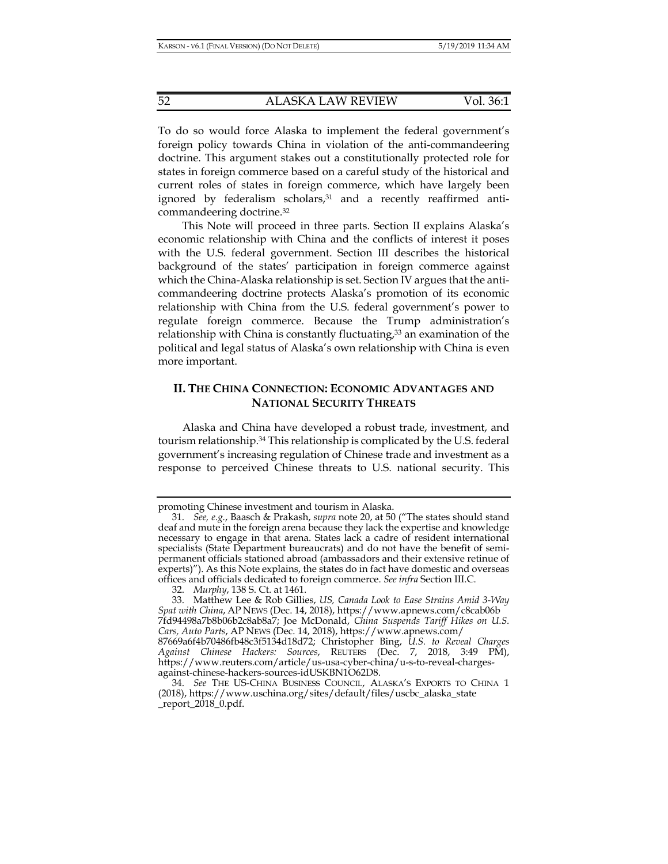To do so would force Alaska to implement the federal government's foreign policy towards China in violation of the anti-commandeering doctrine. This argument stakes out a constitutionally protected role for states in foreign commerce based on a careful study of the historical and current roles of states in foreign commerce, which have largely been ignored by federalism scholars,<sup>31</sup> and a recently reaffirmed anticommandeering doctrine.32

This Note will proceed in three parts. Section II explains Alaska's economic relationship with China and the conflicts of interest it poses with the U.S. federal government. Section III describes the historical background of the states' participation in foreign commerce against which the China-Alaska relationship is set. Section IV argues that the anticommandeering doctrine protects Alaska's promotion of its economic relationship with China from the U.S. federal government's power to regulate foreign commerce. Because the Trump administration's relationship with China is constantly fluctuating,<sup>33</sup> an examination of the political and legal status of Alaska's own relationship with China is even more important.

# **II. THE CHINA CONNECTION: ECONOMIC ADVANTAGES AND NATIONAL SECURITY THREATS**

Alaska and China have developed a robust trade, investment, and tourism relationship.34 This relationship is complicated by the U.S. federal government's increasing regulation of Chinese trade and investment as a response to perceived Chinese threats to U.S. national security. This

promoting Chinese investment and tourism in Alaska.

 <sup>31.</sup> *See, e.g.*, Baasch & Prakash, *supra* note 20, at 50 ("The states should stand deaf and mute in the foreign arena because they lack the expertise and knowledge necessary to engage in that arena. States lack a cadre of resident international specialists (State Department bureaucrats) and do not have the benefit of semipermanent officials stationed abroad (ambassadors and their extensive retinue of experts)"). As this Note explains, the states do in fact have domestic and overseas offices and officials dedicated to foreign commerce. *See infra* Section III.C.

 <sup>32.</sup> *Murphy*, 138 S. Ct. at 1461.

 <sup>33.</sup> Matthew Lee & Rob Gillies, *US, Canada Look to Ease Strains Amid 3-Way Spat with China*, AP NEWS (Dec. 14, 2018), https://www.apnews.com/c8cab06b 7fd94498a7b8b06b2c8ab8a7; Joe McDonald, *China Suspends Tariff Hikes on U.S. Cars, Auto Parts*, AP NEWS (Dec. 14, 2018), https://www.apnews.com/ 87669a6f4b70486fb48c3f5134d18d72; Christopher Bing, *U.S. to Reveal Charges Against Chinese Hackers: Sources*, REUTERS (Dec. 7, 2018, 3:49 PM),

https://www.reuters.com/article/us-usa-cyber-china/u-s-to-reveal-chargesagainst-chinese-hackers-sources-idUSKBN1O62D8.

 <sup>34.</sup> *See* THE US-CHINA BUSINESS COUNCIL, ALASKA'S EXPORTS TO CHINA 1 (2018), https://www.uschina.org/sites/default/files/uscbc\_alaska\_state  $_{\rm}$  report $_{\rm}$  2018 $_{\rm}$ 0.pdf.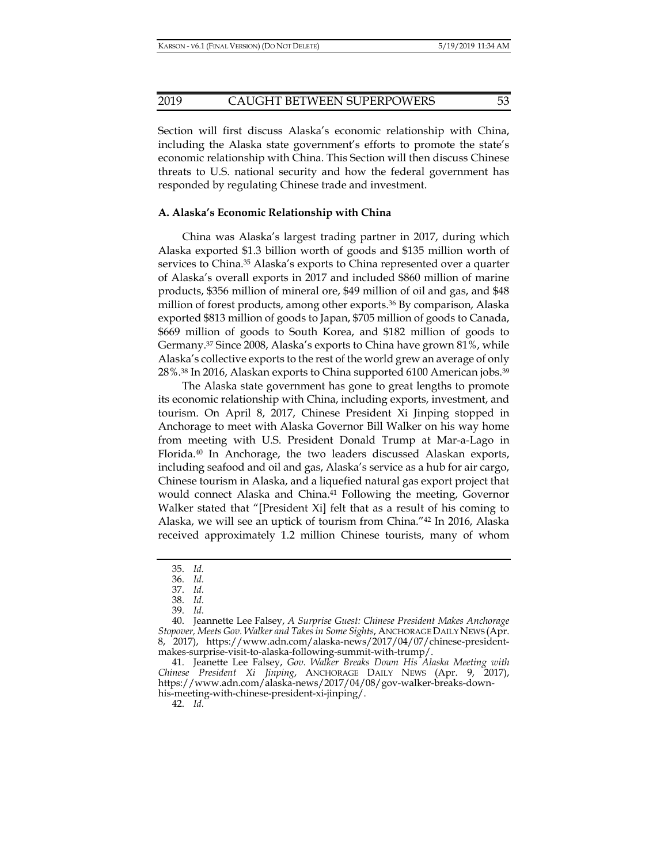#### 2019 CAUGHT BETWEEN SUPERPOWERS 53

Section will first discuss Alaska's economic relationship with China, including the Alaska state government's efforts to promote the state's economic relationship with China. This Section will then discuss Chinese threats to U.S. national security and how the federal government has responded by regulating Chinese trade and investment.

#### **A. Alaska's Economic Relationship with China**

China was Alaska's largest trading partner in 2017, during which Alaska exported \$1.3 billion worth of goods and \$135 million worth of services to China.35 Alaska's exports to China represented over a quarter of Alaska's overall exports in 2017 and included \$860 million of marine products, \$356 million of mineral ore, \$49 million of oil and gas, and \$48 million of forest products, among other exports.36 By comparison, Alaska exported \$813 million of goods to Japan, \$705 million of goods to Canada, \$669 million of goods to South Korea, and \$182 million of goods to Germany.37 Since 2008, Alaska's exports to China have grown 81%, while Alaska's collective exports to the rest of the world grew an average of only 28%.<sup>38</sup> In 2016, Alaskan exports to China supported 6100 American jobs.<sup>39</sup>

The Alaska state government has gone to great lengths to promote its economic relationship with China, including exports, investment, and tourism. On April 8, 2017, Chinese President Xi Jinping stopped in Anchorage to meet with Alaska Governor Bill Walker on his way home from meeting with U.S. President Donald Trump at Mar-a-Lago in Florida.40 In Anchorage, the two leaders discussed Alaskan exports, including seafood and oil and gas, Alaska's service as a hub for air cargo, Chinese tourism in Alaska, and a liquefied natural gas export project that would connect Alaska and China.41 Following the meeting, Governor Walker stated that "[President Xi] felt that as a result of his coming to Alaska, we will see an uptick of tourism from China."42 In 2016, Alaska received approximately 1.2 million Chinese tourists, many of whom

 41. Jeanette Lee Falsey, *Gov. Walker Breaks Down His Alaska Meeting with Chinese President Xi Jinping*, ANCHORAGE DAILY NEWS (Apr. 9, 2017), https://www.adn.com/alaska-news/2017/04/08/gov-walker-breaks-downhis-meeting-with-chinese-president-xi-jinping/.

 <sup>35.</sup> *Id.* 

 <sup>36.</sup> *Id.*

 <sup>37.</sup> *Id.*

 <sup>38.</sup> *Id.*

 <sup>39.</sup> *Id.*

 <sup>40.</sup> Jeannette Lee Falsey, *A Surprise Guest: Chinese President Makes Anchorage Stopover, Meets Gov. Walker and Takes in Some Sights*, ANCHORAGE DAILY NEWS (Apr. 8, 2017), https://www.adn.com/alaska-news/2017/04/07/chinese-presidentmakes-surprise-visit-to-alaska-following-summit-with-trump/.

 <sup>42.</sup> *Id.*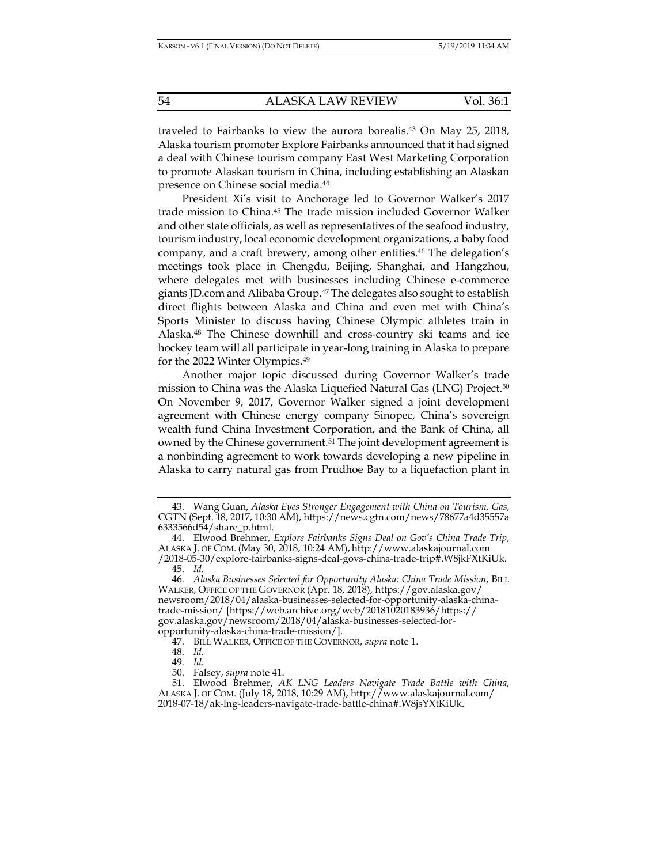traveled to Fairbanks to view the aurora borealis.43 On May 25, 2018, Alaska tourism promoter Explore Fairbanks announced that it had signed a deal with Chinese tourism company East West Marketing Corporation to promote Alaskan tourism in China, including establishing an Alaskan presence on Chinese social media.44

President Xi's visit to Anchorage led to Governor Walker's 2017 trade mission to China.45 The trade mission included Governor Walker and other state officials, as well as representatives of the seafood industry, tourism industry, local economic development organizations, a baby food company, and a craft brewery, among other entities.46 The delegation's meetings took place in Chengdu, Beijing, Shanghai, and Hangzhou, where delegates met with businesses including Chinese e-commerce giants JD.com and Alibaba Group.47 The delegates also sought to establish direct flights between Alaska and China and even met with China's Sports Minister to discuss having Chinese Olympic athletes train in Alaska.48 The Chinese downhill and cross-country ski teams and ice hockey team will all participate in year-long training in Alaska to prepare for the 2022 Winter Olympics.49

Another major topic discussed during Governor Walker's trade mission to China was the Alaska Liquefied Natural Gas (LNG) Project.50 On November 9, 2017, Governor Walker signed a joint development agreement with Chinese energy company Sinopec, China's sovereign wealth fund China Investment Corporation, and the Bank of China, all owned by the Chinese government.51 The joint development agreement is a nonbinding agreement to work towards developing a new pipeline in Alaska to carry natural gas from Prudhoe Bay to a liquefaction plant in

 <sup>43.</sup> Wang Guan, *Alaska Eyes Stronger Engagement with China on Tourism, Gas*, CGTN (Sept. 18, 2017, 10:30 AM), https://news.cgtn.com/news/78677a4d35557a 6333566d54/share\_p.html.

 <sup>44.</sup> Elwood Brehmer, *Explore Fairbanks Signs Deal on Gov's China Trade Trip*, ALASKA J. OF COM. (May 30, 2018, 10:24 AM), http://www.alaskajournal.com /2018-05-30/explore-fairbanks-signs-deal-govs-china-trade-trip#.W8jkFXtKiUk. 45. *Id.*

 <sup>46.</sup> *Alaska Businesses Selected for Opportunity Alaska: China Trade Mission*, BILL WALKER, OFFICE OF THE GOVERNOR (Apr. 18, 2018), https://gov.alaska.gov/ newsroom/2018/04/alaska-businesses-selected-for-opportunity-alaska-chinatrade-mission/ [https://web.archive.org/web/20181020183936/https:// gov.alaska.gov/newsroom/2018/04/alaska-businesses-selected-foropportunity-alaska-china-trade-mission/].

 <sup>47.</sup> BILL WALKER, OFFICE OF THE GOVERNOR, *supra* note 1.

 <sup>48.</sup> *Id.*

 <sup>49.</sup> *Id.*

 <sup>50.</sup> Falsey, *supra* note 41.

 <sup>51.</sup> Elwood Brehmer, *AK LNG Leaders Navigate Trade Battle with China*, ALASKA J. OF COM. (July 18, 2018, 10:29 AM), http://www.alaskajournal.com/ 2018-07-18/ak-lng-leaders-navigate-trade-battle-china#.W8jsYXtKiUk.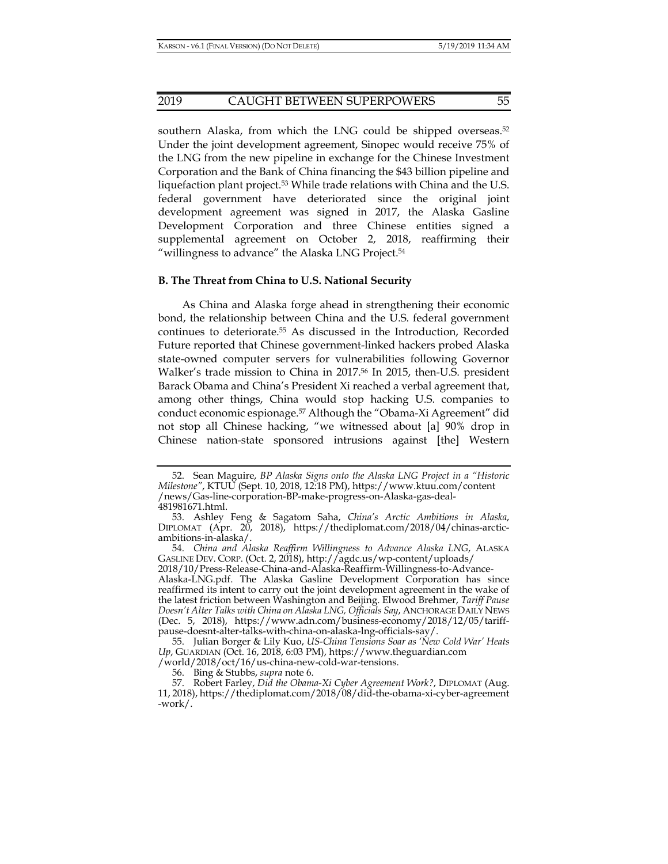southern Alaska, from which the LNG could be shipped overseas.<sup>52</sup> Under the joint development agreement, Sinopec would receive 75% of the LNG from the new pipeline in exchange for the Chinese Investment Corporation and the Bank of China financing the \$43 billion pipeline and liquefaction plant project.<sup>53</sup> While trade relations with China and the U.S. federal government have deteriorated since the original joint development agreement was signed in 2017, the Alaska Gasline Development Corporation and three Chinese entities signed a supplemental agreement on October 2, 2018, reaffirming their "willingness to advance" the Alaska LNG Project.<sup>54</sup>

#### **B. The Threat from China to U.S. National Security**

As China and Alaska forge ahead in strengthening their economic bond, the relationship between China and the U.S. federal government continues to deteriorate.55 As discussed in the Introduction, Recorded Future reported that Chinese government-linked hackers probed Alaska state-owned computer servers for vulnerabilities following Governor Walker's trade mission to China in 2017.<sup>56</sup> In 2015, then-U.S. president Barack Obama and China's President Xi reached a verbal agreement that, among other things, China would stop hacking U.S. companies to conduct economic espionage.57 Although the "Obama-Xi Agreement" did not stop all Chinese hacking, "we witnessed about [a] 90% drop in Chinese nation-state sponsored intrusions against [the] Western

 <sup>52.</sup> Sean Maguire, *BP Alaska Signs onto the Alaska LNG Project in a "Historic Milestone"*, KTUU (Sept. 10, 2018, 12:18 PM), https://www.ktuu.com/content /news/Gas-line-corporation-BP-make-progress-on-Alaska-gas-deal-481981671.html.

 <sup>53.</sup> Ashley Feng & Sagatom Saha, *China's Arctic Ambitions in Alaska*, DIPLOMAT (Apr. 20, 2018), https://thediplomat.com/2018/04/chinas-arcticambitions-in-alaska/.

 <sup>54.</sup> *China and Alaska Reaffirm Willingness to Advance Alaska LNG*, ALASKA GASLINE DEV. CORP. (Oct. 2, 2018), http://agdc.us/wp-content/uploads/

<sup>2018/10/</sup>Press-Release-China-and-Alaska-Reaffirm-Willingness-to-Advance-Alaska-LNG.pdf. The Alaska Gasline Development Corporation has since reaffirmed its intent to carry out the joint development agreement in the wake of the latest friction between Washington and Beijing. Elwood Brehmer, *Tariff Pause Doesn't Alter Talks with China on Alaska LNG, Officials Say*, ANCHORAGE DAILY NEWS (Dec. 5, 2018), https://www.adn.com/business-economy/2018/12/05/tariffpause-doesnt-alter-talks-with-china-on-alaska-lng-officials-say/.

 <sup>55.</sup> Julian Borger & Lily Kuo, *US-China Tensions Soar as 'New Cold War' Heats Up*, GUARDIAN (Oct. 16, 2018, 6:03 PM), https://www.theguardian.com /world/2018/oct/16/us-china-new-cold-war-tensions.

 <sup>56.</sup> Bing & Stubbs, *supra* note 6.

 <sup>57.</sup> Robert Farley, *Did the Obama-Xi Cyber Agreement Work?*, DIPLOMAT (Aug. 11, 2018), https://thediplomat.com/2018/08/did-the-obama-xi-cyber-agreement -work/.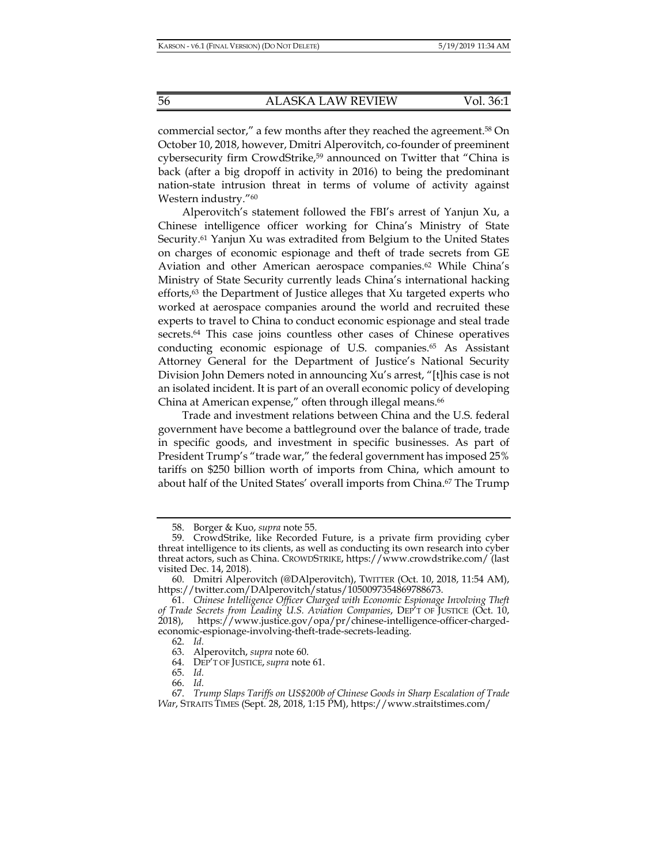commercial sector," a few months after they reached the agreement.58 On October 10, 2018, however, Dmitri Alperovitch, co-founder of preeminent cybersecurity firm CrowdStrike,<sup>59</sup> announced on Twitter that "China is back (after a big dropoff in activity in 2016) to being the predominant nation-state intrusion threat in terms of volume of activity against Western industry."60

Alperovitch's statement followed the FBI's arrest of Yanjun Xu, a Chinese intelligence officer working for China's Ministry of State Security.<sup>61</sup> Yanjun Xu was extradited from Belgium to the United States on charges of economic espionage and theft of trade secrets from GE Aviation and other American aerospace companies.<sup>62</sup> While China's Ministry of State Security currently leads China's international hacking efforts,<sup>63</sup> the Department of Justice alleges that Xu targeted experts who worked at aerospace companies around the world and recruited these experts to travel to China to conduct economic espionage and steal trade secrets.64 This case joins countless other cases of Chinese operatives conducting economic espionage of U.S. companies.<sup>65</sup> As Assistant Attorney General for the Department of Justice's National Security Division John Demers noted in announcing Xu's arrest, "[t]his case is not an isolated incident. It is part of an overall economic policy of developing China at American expense," often through illegal means.<sup>66</sup>

Trade and investment relations between China and the U.S. federal government have become a battleground over the balance of trade, trade in specific goods, and investment in specific businesses. As part of President Trump's "trade war," the federal government has imposed 25% tariffs on \$250 billion worth of imports from China, which amount to about half of the United States' overall imports from China.<sup>67</sup> The Trump

64. DEP'T OF JUSTICE, *supra* note 61.

 <sup>58.</sup> Borger & Kuo, *supra* note 55.

 <sup>59.</sup> CrowdStrike, like Recorded Future, is a private firm providing cyber threat intelligence to its clients, as well as conducting its own research into cyber threat actors, such as China. CROWDSTRIKE, https://www.crowdstrike.com/ (last visited Dec. 14, 2018).

 <sup>60.</sup> Dmitri Alperovitch (@DAlperovitch), TWITTER (Oct. 10, 2018, 11:54 AM), https://twitter.com/DAlperovitch/status/1050097354869788673.

 <sup>61.</sup> *Chinese Intelligence Officer Charged with Economic Espionage Involving Theft of Trade Secrets from Leading U.S. Aviation Companies*, DEP'T OF JUSTICE (Oct. 10, 2018), https://www.justice.gov/opa/pr/chinese-intelligence-officer-chargedeconomic-espionage-involving-theft-trade-secrets-leading.

 <sup>62.</sup> *Id.*

 <sup>63.</sup> Alperovitch, *supra* note 60.

 <sup>65.</sup> *Id.*

 <sup>66.</sup> *Id.*

 <sup>67.</sup> *Trump Slaps Tariffs on US\$200b of Chinese Goods in Sharp Escalation of Trade War*, STRAITS TIMES (Sept. 28, 2018, 1:15 PM), https://www.straitstimes.com/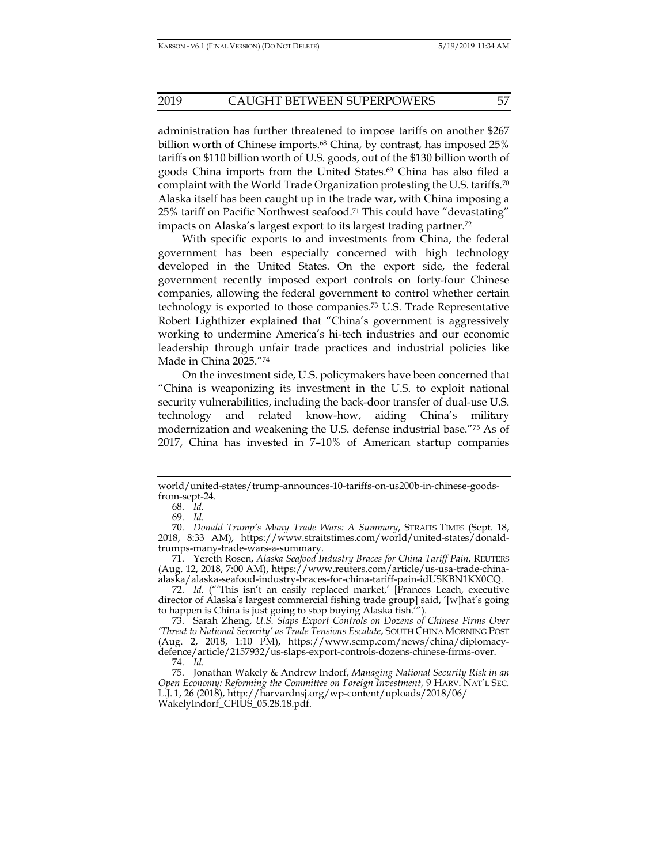administration has further threatened to impose tariffs on another \$267 billion worth of Chinese imports.68 China, by contrast, has imposed 25% tariffs on \$110 billion worth of U.S. goods, out of the \$130 billion worth of goods China imports from the United States.<sup>69</sup> China has also filed a complaint with the World Trade Organization protesting the U.S. tariffs.70 Alaska itself has been caught up in the trade war, with China imposing a 25% tariff on Pacific Northwest seafood.71 This could have "devastating" impacts on Alaska's largest export to its largest trading partner.72

With specific exports to and investments from China, the federal government has been especially concerned with high technology developed in the United States. On the export side, the federal government recently imposed export controls on forty-four Chinese companies, allowing the federal government to control whether certain technology is exported to those companies.73 U.S. Trade Representative Robert Lighthizer explained that "China's government is aggressively working to undermine America's hi-tech industries and our economic leadership through unfair trade practices and industrial policies like Made in China 2025."74

On the investment side, U.S. policymakers have been concerned that "China is weaponizing its investment in the U.S. to exploit national security vulnerabilities, including the back-door transfer of dual-use U.S. technology and related know-how, aiding China's military modernization and weakening the U.S. defense industrial base."75 As of 2017, China has invested in 7–10% of American startup companies

 73. Sarah Zheng, *U.S. Slaps Export Controls on Dozens of Chinese Firms Over 'Threat to National Security' as Trade Tensions Escalate*, SOUTH CHINA MORNING POST (Aug. 2, 2018, 1:10 PM), https://www.scmp.com/news/china/diplomacydefence/article/2157932/us-slaps-export-controls-dozens-chinese-firms-over.

world/united-states/trump-announces-10-tariffs-on-us200b-in-chinese-goodsfrom-sept-24.

 <sup>68.</sup> *Id.*

 <sup>69.</sup> *Id.*

 <sup>70.</sup> *Donald Trump's Many Trade Wars: A Summary*, STRAITS TIMES (Sept. 18, 2018, 8:33 AM), https://www.straitstimes.com/world/united-states/donaldtrumps-many-trade-wars-a-summary.

 <sup>71.</sup> Yereth Rosen, *Alaska Seafood Industry Braces for China Tariff Pain*, REUTERS (Aug. 12, 2018, 7:00 AM), https://www.reuters.com/article/us-usa-trade-chinaalaska/alaska-seafood-industry-braces-for-china-tariff-pain-idUSKBN1KX0CQ.

 <sup>72.</sup> *Id.* ("'This isn't an easily replaced market,' [Frances Leach, executive director of Alaska's largest commercial fishing trade group] said, '[w]hat's going to happen is China is just going to stop buying Alaska fish.'").

 <sup>74.</sup> *Id.*

 <sup>75.</sup> Jonathan Wakely & Andrew Indorf, *Managing National Security Risk in an Open Economy: Reforming the Committee on Foreign Investment*, 9 HARV. NAT'L SEC. L.J. 1, 26 (2018), http://harvardnsj.org/wp-content/uploads/2018/06/ WakelyIndorf\_CFIUS\_05.28.18.pdf.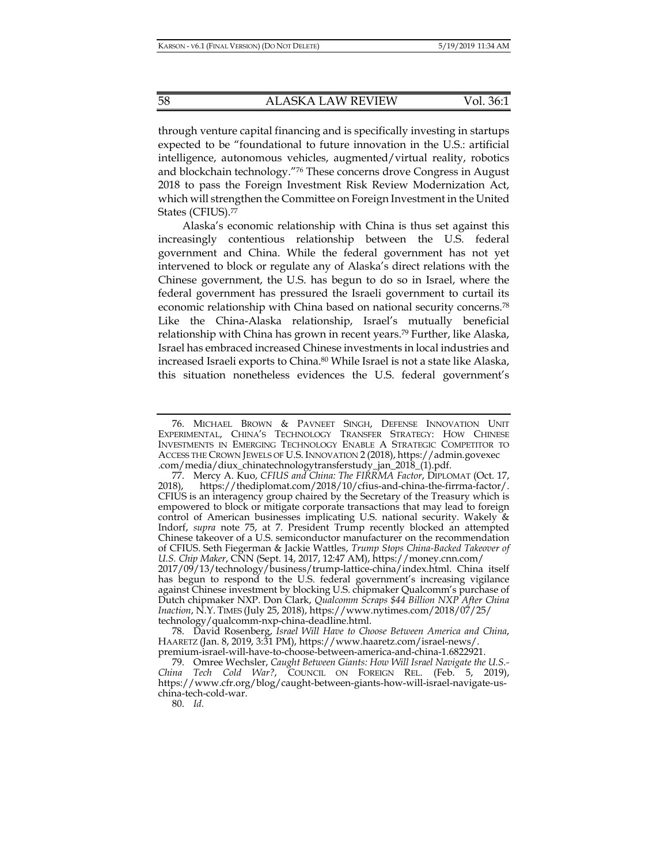through venture capital financing and is specifically investing in startups expected to be "foundational to future innovation in the U.S.: artificial intelligence, autonomous vehicles, augmented/virtual reality, robotics and blockchain technology."76 These concerns drove Congress in August 2018 to pass the Foreign Investment Risk Review Modernization Act, which will strengthen the Committee on Foreign Investment in the United States (CFIUS).77

Alaska's economic relationship with China is thus set against this increasingly contentious relationship between the U.S. federal government and China. While the federal government has not yet intervened to block or regulate any of Alaska's direct relations with the Chinese government, the U.S. has begun to do so in Israel, where the federal government has pressured the Israeli government to curtail its economic relationship with China based on national security concerns.78 Like the China-Alaska relationship, Israel's mutually beneficial relationship with China has grown in recent years.<sup>79</sup> Further, like Alaska, Israel has embraced increased Chinese investments in local industries and increased Israeli exports to China.<sup>80</sup> While Israel is not a state like Alaska, this situation nonetheless evidences the U.S. federal government's

80. *Id.*

 <sup>76.</sup> MICHAEL BROWN & PAVNEET SINGH, DEFENSE INNOVATION UNIT EXPERIMENTAL, CHINA'S TECHNOLOGY TRANSFER STRATEGY: HOW CHINESE INVESTMENTS IN EMERGING TECHNOLOGY ENABLE A STRATEGIC COMPETITOR TO ACCESS THE CROWN JEWELS OF U.S. INNOVATION 2 (2018), https://admin.govexec .com/media/diux\_chinatechnologytransferstudy\_jan\_2018\_(1).pdf.

<sup>77.</sup> Mercy A. Kuo, CFIUS and China: The FIRRMA Factor, DIPLOMAT (Oct. 17, 2018), https://thediplomat.com/2018/10/cfius-and-china-the-firrma-factor/. CFIUS is an interagency group chaired by the Secretary of the Treasury which is empowered to block or mitigate corporate transactions that may lead to foreign control of American businesses implicating U.S. national security. Wakely & Indorf, *supra* note 75, at 7. President Trump recently blocked an attempted Chinese takeover of a U.S. semiconductor manufacturer on the recommendation of CFIUS. Seth Fiegerman & Jackie Wattles, *Trump Stops China-Backed Takeover of U.S. Chip Maker*, CNN (Sept. 14, 2017, 12:47 AM), https://money.cnn.com/ 2017/09/13/technology/business/trump-lattice-china/index.html. China itself

has begun to respond to the U.S. federal government's increasing vigilance against Chinese investment by blocking U.S. chipmaker Qualcomm's purchase of Dutch chipmaker NXP. Don Clark, *Qualcomm Scraps \$44 Billion NXP After China Inaction*, N.Y. TIMES (July 25, 2018), https://www.nytimes.com/2018/07/25/ technology/qualcomm-nxp-china-deadline.html.

 <sup>78.</sup> David Rosenberg, *Israel Will Have to Choose Between America and China*, HAARETZ (Jan. 8, 2019, 3:31 PM), https://www.haaretz.com/israel-news/. premium-israel-will-have-to-choose-between-america-and-china-1.6822921.

 <sup>79.</sup> Omree Wechsler, *Caught Between Giants: How Will Israel Navigate the U.S.- China Tech Cold War?*, COUNCIL ON FOREIGN REL. (Feb. 5, 2019), https://www.cfr.org/blog/caught-between-giants-how-will-israel-navigate-uschina-tech-cold-war.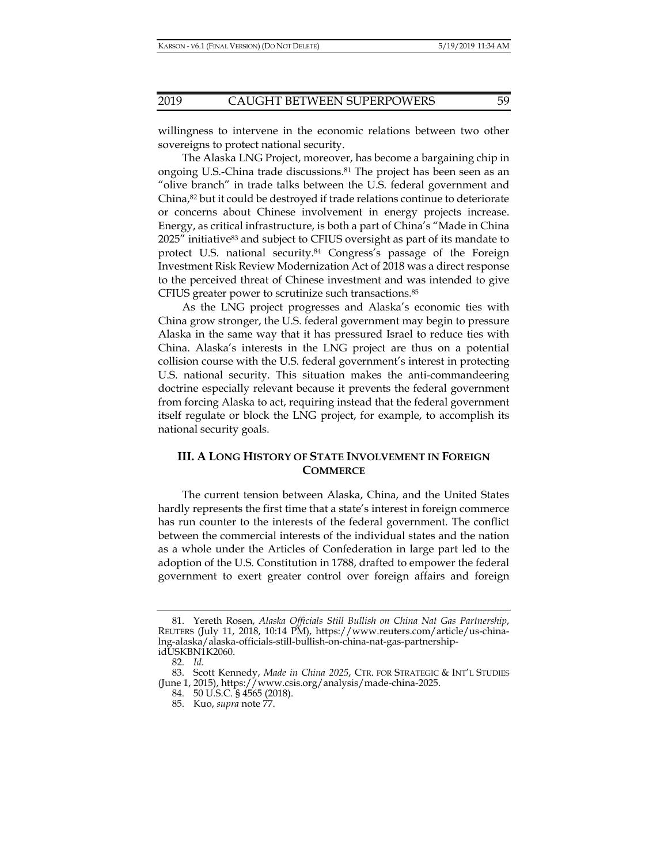willingness to intervene in the economic relations between two other sovereigns to protect national security.

The Alaska LNG Project, moreover, has become a bargaining chip in ongoing U.S.-China trade discussions.81 The project has been seen as an "olive branch" in trade talks between the U.S. federal government and China, $82$  but it could be destroyed if trade relations continue to deteriorate or concerns about Chinese involvement in energy projects increase. Energy, as critical infrastructure, is both a part of China's "Made in China 2025" initiative<sup>83</sup> and subject to CFIUS oversight as part of its mandate to protect U.S. national security.<sup>84</sup> Congress's passage of the Foreign Investment Risk Review Modernization Act of 2018 was a direct response to the perceived threat of Chinese investment and was intended to give CFIUS greater power to scrutinize such transactions.85

As the LNG project progresses and Alaska's economic ties with China grow stronger, the U.S. federal government may begin to pressure Alaska in the same way that it has pressured Israel to reduce ties with China. Alaska's interests in the LNG project are thus on a potential collision course with the U.S. federal government's interest in protecting U.S. national security. This situation makes the anti-commandeering doctrine especially relevant because it prevents the federal government from forcing Alaska to act, requiring instead that the federal government itself regulate or block the LNG project, for example, to accomplish its national security goals.

# **III. A LONG HISTORY OF STATE INVOLVEMENT IN FOREIGN COMMERCE**

The current tension between Alaska, China, and the United States hardly represents the first time that a state's interest in foreign commerce has run counter to the interests of the federal government. The conflict between the commercial interests of the individual states and the nation as a whole under the Articles of Confederation in large part led to the adoption of the U.S. Constitution in 1788, drafted to empower the federal government to exert greater control over foreign affairs and foreign

 <sup>81.</sup> Yereth Rosen, *Alaska Officials Still Bullish on China Nat Gas Partnership*, REUTERS (July 11, 2018, 10:14 PM), https://www.reuters.com/article/us-chinalng-alaska/alaska-officials-still-bullish-on-china-nat-gas-partnershipidUSKBN1K2060.

 <sup>82.</sup> *Id.*

 <sup>83.</sup> Scott Kennedy, *Made in China 2025*, CTR. FOR STRATEGIC & INT'L STUDIES (June 1, 2015), https://www.csis.org/analysis/made-china-2025.

 <sup>84. 50</sup> U.S.C. § 4565 (2018).

 <sup>85.</sup> Kuo, *supra* note 77.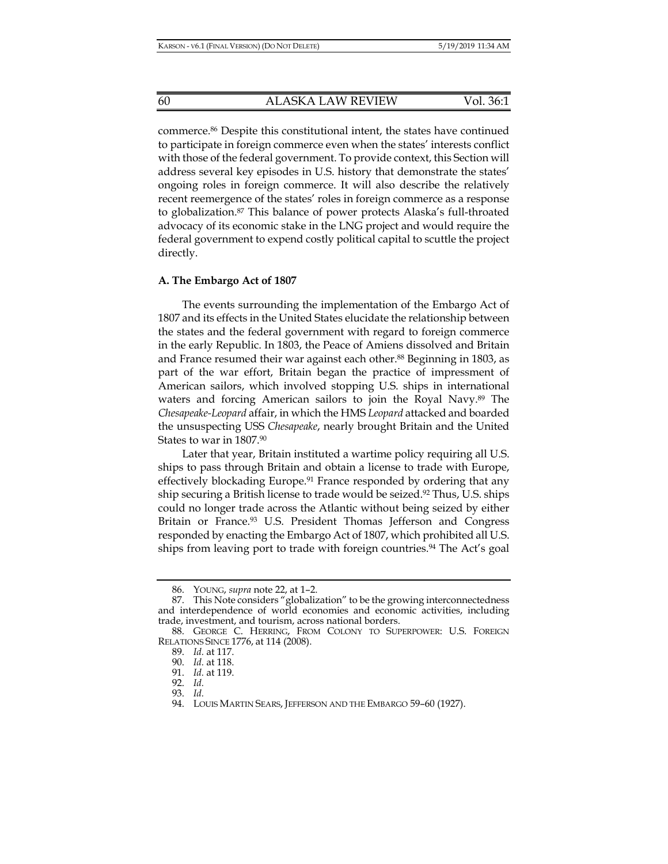commerce.86 Despite this constitutional intent, the states have continued to participate in foreign commerce even when the states' interests conflict with those of the federal government. To provide context, this Section will address several key episodes in U.S. history that demonstrate the states' ongoing roles in foreign commerce. It will also describe the relatively recent reemergence of the states' roles in foreign commerce as a response to globalization.87 This balance of power protects Alaska's full-throated advocacy of its economic stake in the LNG project and would require the federal government to expend costly political capital to scuttle the project directly.

#### **A. The Embargo Act of 1807**

The events surrounding the implementation of the Embargo Act of 1807 and its effects in the United States elucidate the relationship between the states and the federal government with regard to foreign commerce in the early Republic. In 1803, the Peace of Amiens dissolved and Britain and France resumed their war against each other.<sup>88</sup> Beginning in 1803, as part of the war effort, Britain began the practice of impressment of American sailors, which involved stopping U.S. ships in international waters and forcing American sailors to join the Royal Navy.89 The *Chesapeake-Leopard* affair, in which the HMS *Leopard* attacked and boarded the unsuspecting USS *Chesapeake*, nearly brought Britain and the United States to war in 1807.90

Later that year, Britain instituted a wartime policy requiring all U.S. ships to pass through Britain and obtain a license to trade with Europe, effectively blockading Europe.91 France responded by ordering that any ship securing a British license to trade would be seized.92 Thus, U.S. ships could no longer trade across the Atlantic without being seized by either Britain or France.<sup>93</sup> U.S. President Thomas Jefferson and Congress responded by enacting the Embargo Act of 1807, which prohibited all U.S. ships from leaving port to trade with foreign countries.94 The Act's goal

 <sup>86.</sup> YOUNG, *supra* note 22, at 1–2.

<sup>87.</sup> This Note considers "globalization" to be the growing interconnectedness and interdependence of world economies and economic activities, including trade, investment, and tourism, across national borders.

 <sup>88.</sup> GEORGE C. HERRING, FROM COLONY TO SUPERPOWER: U.S. FOREIGN RELATIONS SINCE 1776, at 114 (2008).

 <sup>89.</sup> *Id.* at 117.

 <sup>90.</sup> *Id.* at 118.

 <sup>91.</sup> *Id.* at 119.

 <sup>92.</sup> *Id.*

 <sup>93.</sup> *Id.*

 <sup>94.</sup> LOUIS MARTIN SEARS, JEFFERSON AND THE EMBARGO 59–60 (1927).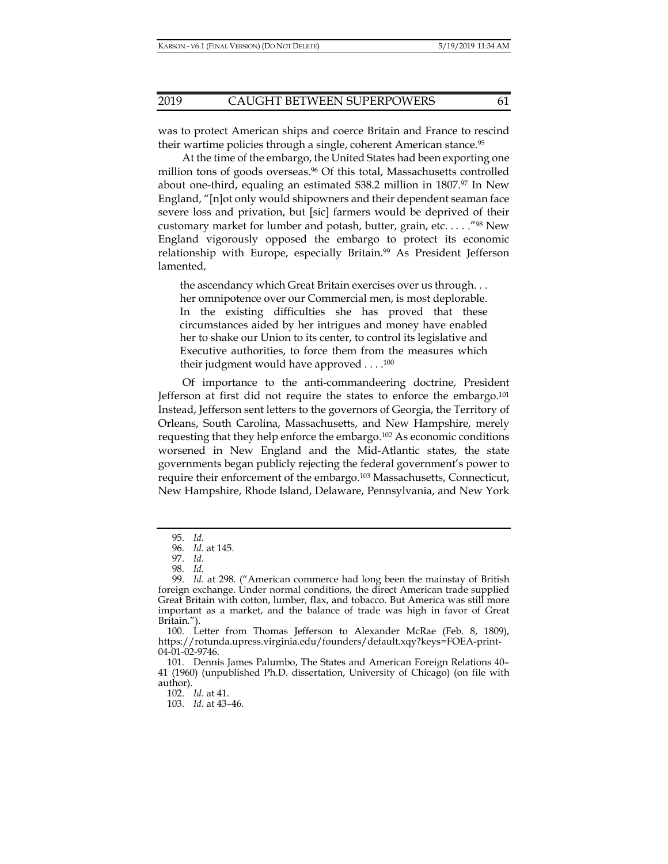was to protect American ships and coerce Britain and France to rescind their wartime policies through a single, coherent American stance.<sup>95</sup>

At the time of the embargo, the United States had been exporting one million tons of goods overseas.<sup>96</sup> Of this total, Massachusetts controlled about one-third, equaling an estimated \$38.2 million in 1807.97 In New England, "[n]ot only would shipowners and their dependent seaman face severe loss and privation, but [sic] farmers would be deprived of their customary market for lumber and potash, butter, grain, etc....."<sup>98</sup> New England vigorously opposed the embargo to protect its economic relationship with Europe, especially Britain.99 As President Jefferson lamented,

the ascendancy which Great Britain exercises over us through. . . her omnipotence over our Commercial men, is most deplorable. In the existing difficulties she has proved that these circumstances aided by her intrigues and money have enabled her to shake our Union to its center, to control its legislative and Executive authorities, to force them from the measures which their judgment would have approved  $\dots$ .<sup>100</sup>

Of importance to the anti-commandeering doctrine, President Jefferson at first did not require the states to enforce the embargo.101 Instead, Jefferson sent letters to the governors of Georgia, the Territory of Orleans, South Carolina, Massachusetts, and New Hampshire, merely requesting that they help enforce the embargo.102 As economic conditions worsened in New England and the Mid-Atlantic states, the state governments began publicly rejecting the federal government's power to require their enforcement of the embargo.103 Massachusetts, Connecticut, New Hampshire, Rhode Island, Delaware, Pennsylvania, and New York

102. *Id.* at 41.

 <sup>95.</sup> *Id.* 

 <sup>96.</sup> *Id.* at 145.

 <sup>97.</sup> *Id.*

 <sup>98.</sup> *Id.*

 <sup>99.</sup> *Id.* at 298. ("American commerce had long been the mainstay of British foreign exchange. Under normal conditions, the direct American trade supplied Great Britain with cotton, lumber, flax, and tobacco. But America was still more important as a market, and the balance of trade was high in favor of Great Britain.").

 <sup>100.</sup> Letter from Thomas Jefferson to Alexander McRae (Feb. 8, 1809), https://rotunda.upress.virginia.edu/founders/default.xqy?keys=FOEA-print-04-01-02-9746.

 <sup>101.</sup> Dennis James Palumbo, The States and American Foreign Relations 40– 41 (1960) (unpublished Ph.D. dissertation, University of Chicago) (on file with author).

 <sup>103.</sup> *Id.* at 43–46.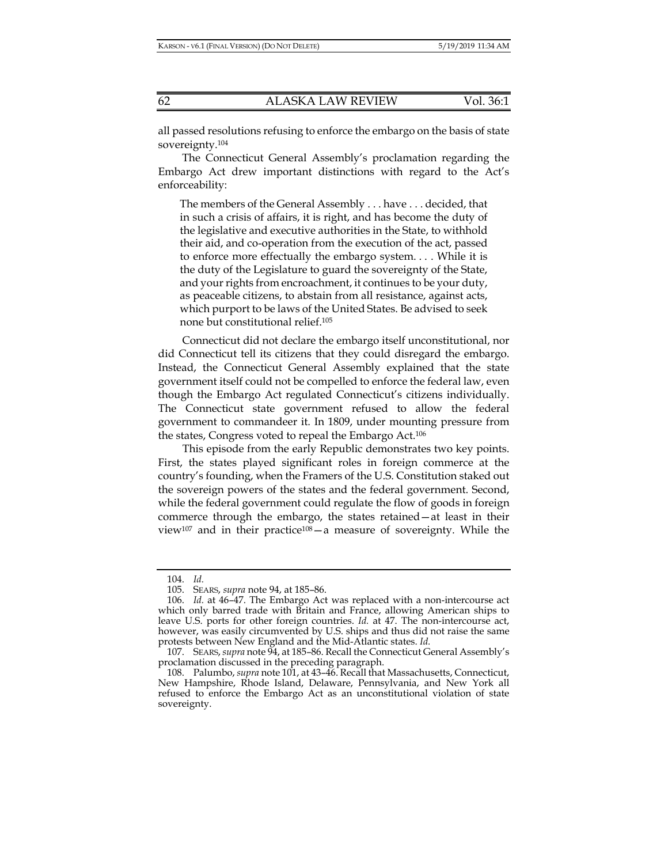all passed resolutions refusing to enforce the embargo on the basis of state sovereignty.104

The Connecticut General Assembly's proclamation regarding the Embargo Act drew important distinctions with regard to the Act's enforceability:

The members of the General Assembly . . . have . . . decided, that in such a crisis of affairs, it is right, and has become the duty of the legislative and executive authorities in the State, to withhold their aid, and co-operation from the execution of the act, passed to enforce more effectually the embargo system. . . . While it is the duty of the Legislature to guard the sovereignty of the State, and your rights from encroachment, it continues to be your duty, as peaceable citizens, to abstain from all resistance, against acts, which purport to be laws of the United States. Be advised to seek none but constitutional relief.105

Connecticut did not declare the embargo itself unconstitutional, nor did Connecticut tell its citizens that they could disregard the embargo. Instead, the Connecticut General Assembly explained that the state government itself could not be compelled to enforce the federal law, even though the Embargo Act regulated Connecticut's citizens individually. The Connecticut state government refused to allow the federal government to commandeer it. In 1809, under mounting pressure from the states, Congress voted to repeal the Embargo Act.106

This episode from the early Republic demonstrates two key points. First, the states played significant roles in foreign commerce at the country's founding, when the Framers of the U.S. Constitution staked out the sovereign powers of the states and the federal government. Second, while the federal government could regulate the flow of goods in foreign commerce through the embargo, the states retained—at least in their view<sup>107</sup> and in their practice<sup>108</sup> — a measure of sovereignty. While the

 <sup>104.</sup> *Id.*

 <sup>105.</sup> SEARS, *supra* note 94, at 185–86.

 <sup>106.</sup> *Id.* at 46–47. The Embargo Act was replaced with a non-intercourse act which only barred trade with Britain and France, allowing American ships to leave U.S. ports for other foreign countries. *Id.* at 47. The non-intercourse act, however, was easily circumvented by U.S. ships and thus did not raise the same protests between New England and the Mid-Atlantic states. *Id.*

 <sup>107.</sup> SEARS, *supra* note 94, at 185–86. Recall the Connecticut General Assembly's proclamation discussed in the preceding paragraph.

 <sup>108.</sup> Palumbo, *supra* note 101, at 43–46. Recall that Massachusetts, Connecticut, New Hampshire, Rhode Island, Delaware, Pennsylvania, and New York all refused to enforce the Embargo Act as an unconstitutional violation of state sovereignty.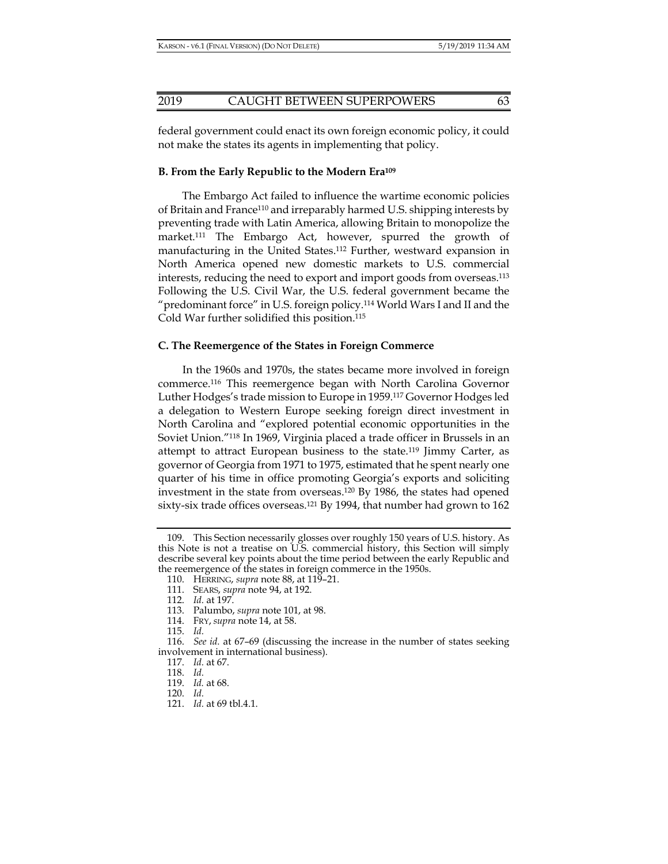federal government could enact its own foreign economic policy, it could not make the states its agents in implementing that policy.

#### **B. From the Early Republic to the Modern Era109**

The Embargo Act failed to influence the wartime economic policies of Britain and France<sup>110</sup> and irreparably harmed U.S. shipping interests by preventing trade with Latin America, allowing Britain to monopolize the market.111 The Embargo Act, however, spurred the growth of manufacturing in the United States.112 Further, westward expansion in North America opened new domestic markets to U.S. commercial interests, reducing the need to export and import goods from overseas.113 Following the U.S. Civil War, the U.S. federal government became the "predominant force" in U.S. foreign policy.<sup>114</sup> World Wars I and II and the Cold War further solidified this position.115

#### **C. The Reemergence of the States in Foreign Commerce**

In the 1960s and 1970s, the states became more involved in foreign commerce.116 This reemergence began with North Carolina Governor Luther Hodges's trade mission to Europe in 1959.117 Governor Hodges led a delegation to Western Europe seeking foreign direct investment in North Carolina and "explored potential economic opportunities in the Soviet Union."118 In 1969, Virginia placed a trade officer in Brussels in an attempt to attract European business to the state.<sup>119</sup> Jimmy Carter, as governor of Georgia from 1971 to 1975, estimated that he spent nearly one quarter of his time in office promoting Georgia's exports and soliciting investment in the state from overseas.120 By 1986, the states had opened sixty-six trade offices overseas.121 By 1994, that number had grown to 162

 <sup>109.</sup> This Section necessarily glosses over roughly 150 years of U.S. history. As this Note is not a treatise on U.S. commercial history, this Section will simply describe several key points about the time period between the early Republic and the reemergence of the states in foreign commerce in the 1950s.

 <sup>110.</sup> HERRING, *supra* note 88, at 119–21.

 <sup>111.</sup> SEARS, *supra* note 94, at 192.

 <sup>112.</sup> *Id.* at 197.

 <sup>113.</sup> Palumbo, *supra* note 101, at 98.

 <sup>114.</sup> FRY, *supra* note 14, at 58.

 <sup>115.</sup> *Id.*

 <sup>116.</sup> *See id.* at 67–69 (discussing the increase in the number of states seeking involvement in international business).

 <sup>117.</sup> *Id.* at 67.

 <sup>118.</sup> *Id.*

 <sup>119.</sup> *Id.* at 68.

 <sup>120.</sup> *Id.*

 <sup>121.</sup> *Id.* at 69 tbl.4.1.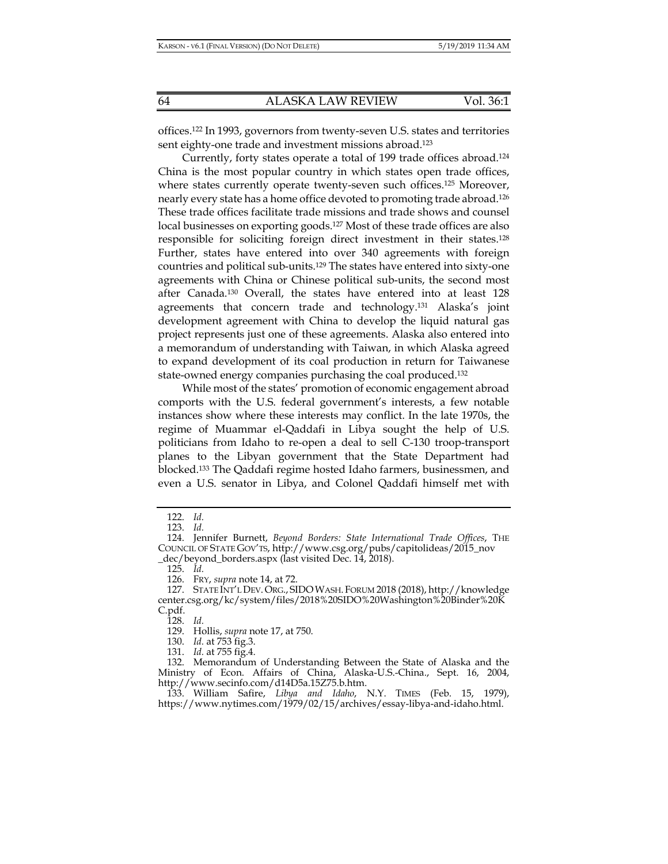offices.122 In 1993, governors from twenty-seven U.S. states and territories sent eighty-one trade and investment missions abroad.<sup>123</sup>

Currently, forty states operate a total of 199 trade offices abroad.124 China is the most popular country in which states open trade offices, where states currently operate twenty-seven such offices.<sup>125</sup> Moreover, nearly every state has a home office devoted to promoting trade abroad.126 These trade offices facilitate trade missions and trade shows and counsel local businesses on exporting goods.127 Most of these trade offices are also responsible for soliciting foreign direct investment in their states.128 Further, states have entered into over 340 agreements with foreign countries and political sub-units.129 The states have entered into sixty-one agreements with China or Chinese political sub-units, the second most after Canada.130 Overall, the states have entered into at least 128 agreements that concern trade and technology.131 Alaska's joint development agreement with China to develop the liquid natural gas project represents just one of these agreements. Alaska also entered into a memorandum of understanding with Taiwan, in which Alaska agreed to expand development of its coal production in return for Taiwanese state-owned energy companies purchasing the coal produced.132

While most of the states' promotion of economic engagement abroad comports with the U.S. federal government's interests, a few notable instances show where these interests may conflict. In the late 1970s, the regime of Muammar el-Qaddafi in Libya sought the help of U.S. politicians from Idaho to re-open a deal to sell C-130 troop-transport planes to the Libyan government that the State Department had blocked.133 The Qaddafi regime hosted Idaho farmers, businessmen, and even a U.S. senator in Libya, and Colonel Qaddafi himself met with

128. *Id.*

130. *Id.* at 753 fig.3.

 <sup>122.</sup> *Id.*

 <sup>123.</sup> *Id.*

 <sup>124.</sup> Jennifer Burnett, *Beyond Borders: State International Trade Offices*, THE COUNCIL OF STATE GOV'TS, http://www.csg.org/pubs/capitolideas/2015\_nov \_dec/beyond\_borders.aspx (last visited Dec. 14, 2018).

 <sup>125.</sup> *Id.*

 <sup>126.</sup> FRY, *supra* note 14, at 72.

 <sup>127.</sup> STATE INT'L DEV.ORG., SIDOWASH. FORUM 2018 (2018), http://knowledge center.csg.org/kc/system/files/2018%20SIDO%20Washington%20Binder%20K C.pdf.

 <sup>129.</sup> Hollis, *supra* note 17, at 750.

 <sup>131.</sup> *Id.* at 755 fig.4.

 <sup>132.</sup> Memorandum of Understanding Between the State of Alaska and the Ministry of Econ. Affairs of China, Alaska-U.S.-China., Sept. 16, 2004, http://www.secinfo.com/d14D5a.15Z75.b.htm.

 <sup>133.</sup> William Safire, *Libya and Idaho*, N.Y. TIMES (Feb. 15, 1979), https://www.nytimes.com/1979/02/15/archives/essay-libya-and-idaho.html.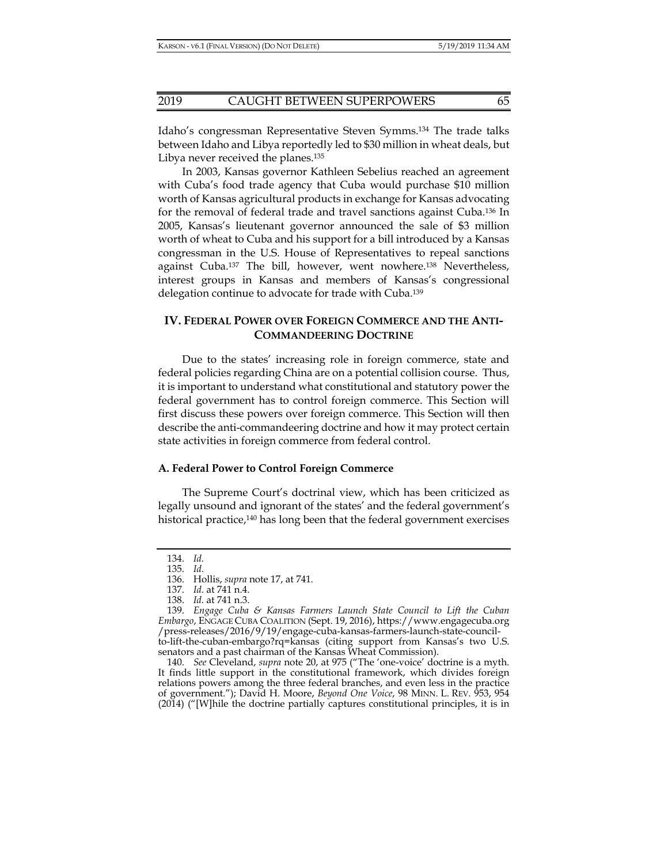Idaho's congressman Representative Steven Symms.134 The trade talks between Idaho and Libya reportedly led to \$30 million in wheat deals, but Libya never received the planes.<sup>135</sup>

In 2003, Kansas governor Kathleen Sebelius reached an agreement with Cuba's food trade agency that Cuba would purchase \$10 million worth of Kansas agricultural products in exchange for Kansas advocating for the removal of federal trade and travel sanctions against Cuba.136 In 2005, Kansas's lieutenant governor announced the sale of \$3 million worth of wheat to Cuba and his support for a bill introduced by a Kansas congressman in the U.S. House of Representatives to repeal sanctions against Cuba.137 The bill, however, went nowhere.138 Nevertheless, interest groups in Kansas and members of Kansas's congressional delegation continue to advocate for trade with Cuba.<sup>139</sup>

# **IV. FEDERAL POWER OVER FOREIGN COMMERCE AND THE ANTI-COMMANDEERING DOCTRINE**

Due to the states' increasing role in foreign commerce, state and federal policies regarding China are on a potential collision course. Thus, it is important to understand what constitutional and statutory power the federal government has to control foreign commerce. This Section will first discuss these powers over foreign commerce. This Section will then describe the anti-commandeering doctrine and how it may protect certain state activities in foreign commerce from federal control.

#### **A. Federal Power to Control Foreign Commerce**

The Supreme Court's doctrinal view, which has been criticized as legally unsound and ignorant of the states' and the federal government's historical practice,<sup>140</sup> has long been that the federal government exercises

 140. *See* Cleveland, *supra* note 20, at 975 ("The 'one-voice' doctrine is a myth. It finds little support in the constitutional framework, which divides foreign relations powers among the three federal branches, and even less in the practice of government."); David H. Moore, *Beyond One Voice*, 98 MINN. L. REV. 953, 954 (2014) ("[W]hile the doctrine partially captures constitutional principles, it is in

 <sup>134.</sup> *Id.*

 <sup>135.</sup> *Id.*

 <sup>136.</sup> Hollis, *supra* note 17, at 741.

 <sup>137.</sup> *Id.* at 741 n.4.

 <sup>138.</sup> *Id.* at 741 n.3.

 <sup>139.</sup> *Engage Cuba & Kansas Farmers Launch State Council to Lift the Cuban Embargo*, ENGAGE CUBA COALITION (Sept. 19, 2016), https://www.engagecuba.org /press-releases/2016/9/19/engage-cuba-kansas-farmers-launch-state-councilto-lift-the-cuban-embargo?rq=kansas (citing support from Kansas's two U.S. senators and a past chairman of the Kansas Wheat Commission).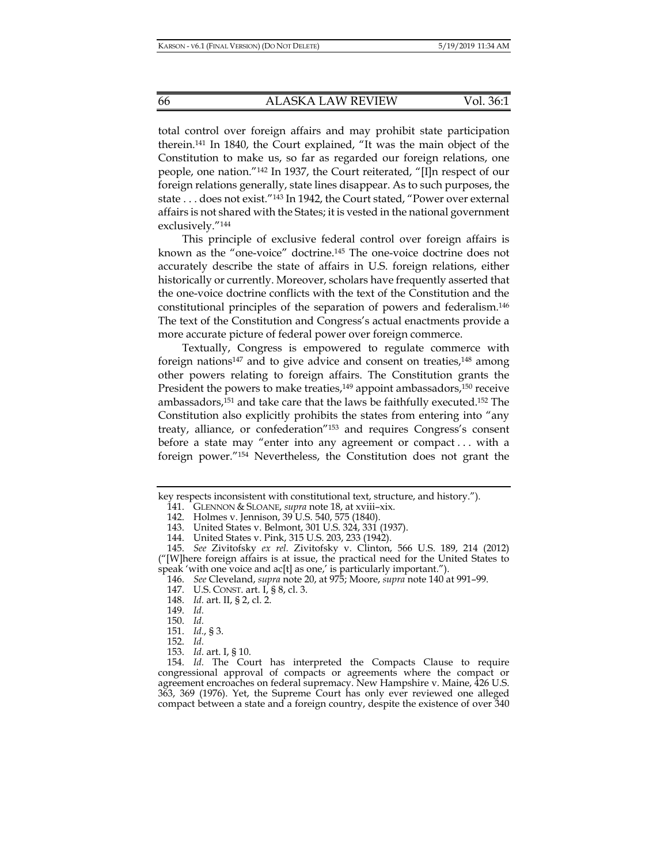total control over foreign affairs and may prohibit state participation therein.141 In 1840, the Court explained, "It was the main object of the Constitution to make us, so far as regarded our foreign relations, one people, one nation."142 In 1937, the Court reiterated, "[I]n respect of our foreign relations generally, state lines disappear. As to such purposes, the state . . . does not exist."143 In 1942, the Court stated, "Power over external affairs is not shared with the States; it is vested in the national government exclusively."144

This principle of exclusive federal control over foreign affairs is known as the "one-voice" doctrine.145 The one-voice doctrine does not accurately describe the state of affairs in U.S. foreign relations, either historically or currently. Moreover, scholars have frequently asserted that the one-voice doctrine conflicts with the text of the Constitution and the constitutional principles of the separation of powers and federalism.146 The text of the Constitution and Congress's actual enactments provide a more accurate picture of federal power over foreign commerce.

Textually, Congress is empowered to regulate commerce with foreign nations<sup>147</sup> and to give advice and consent on treaties,<sup>148</sup> among other powers relating to foreign affairs. The Constitution grants the President the powers to make treaties,<sup>149</sup> appoint ambassadors,<sup>150</sup> receive ambassadors,151 and take care that the laws be faithfully executed.152 The Constitution also explicitly prohibits the states from entering into "any treaty, alliance, or confederation"153 and requires Congress's consent before a state may "enter into any agreement or compact . . . with a foreign power."154 Nevertheless, the Constitution does not grant the

148. *Id.* art. II, § 2, cl. 2.

key respects inconsistent with constitutional text, structure, and history.").

 <sup>141.</sup> GLENNON & SLOANE, *supra* note 18, at xviii–xix.

 <sup>142.</sup> Holmes v. Jennison, 39 U.S. 540, 575 (1840).

 <sup>143.</sup> United States v. Belmont, 301 U.S. 324, 331 (1937).

 <sup>144.</sup> United States v. Pink, 315 U.S. 203, 233 (1942).

 <sup>145.</sup> *See* Zivitofsky *ex rel.* Zivitofsky v. Clinton, 566 U.S. 189, 214 (2012) ("[W]here foreign affairs is at issue, the practical need for the United States to speak 'with one voice and ac[t] as one,' is particularly important.").

 <sup>146.</sup> *See* Cleveland, *supra* note 20, at 975; Moore, *supra* note 140 at 991–99.

 <sup>147.</sup> U.S. CONST. art. I, § 8, cl. 3.

 <sup>149.</sup> *Id.*

 <sup>150.</sup> *Id.*

 <sup>151.</sup> *Id.*, § 3.

 <sup>152.</sup> *Id.*

 <sup>153.</sup> *Id.* art. I, § 10.

 <sup>154.</sup> *Id.* The Court has interpreted the Compacts Clause to require congressional approval of compacts or agreements where the compact or agreement encroaches on federal supremacy. New Hampshire v. Maine, 426 U.S. 363, 369 (1976). Yet, the Supreme Court has only ever reviewed one alleged compact between a state and a foreign country, despite the existence of over 340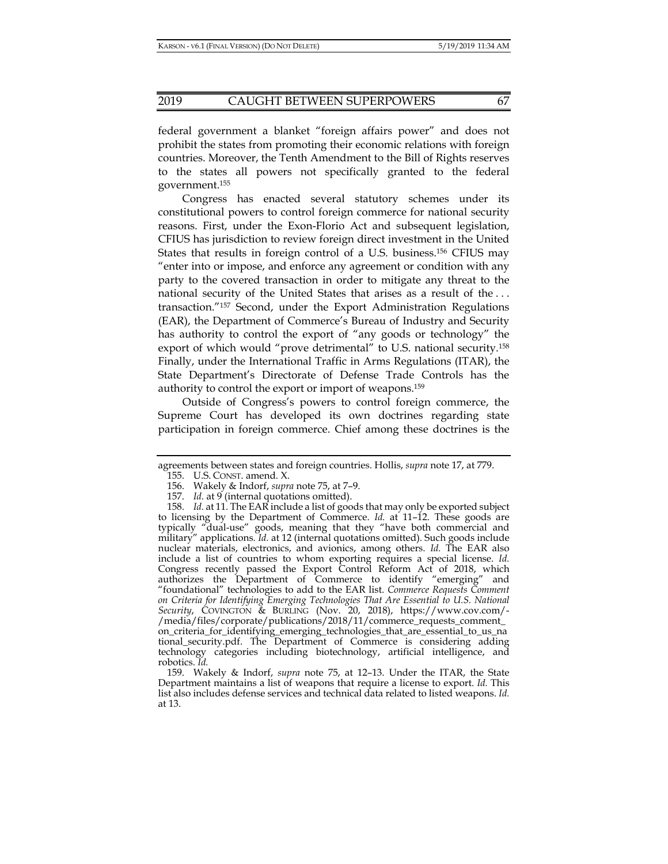federal government a blanket "foreign affairs power" and does not prohibit the states from promoting their economic relations with foreign countries. Moreover, the Tenth Amendment to the Bill of Rights reserves to the states all powers not specifically granted to the federal government.155

Congress has enacted several statutory schemes under its constitutional powers to control foreign commerce for national security reasons. First, under the Exon-Florio Act and subsequent legislation, CFIUS has jurisdiction to review foreign direct investment in the United States that results in foreign control of a U.S. business.156 CFIUS may "enter into or impose, and enforce any agreement or condition with any party to the covered transaction in order to mitigate any threat to the national security of the United States that arises as a result of the . . . transaction."157 Second, under the Export Administration Regulations (EAR), the Department of Commerce's Bureau of Industry and Security has authority to control the export of "any goods or technology" the export of which would "prove detrimental" to U.S. national security.<sup>158</sup> Finally, under the International Traffic in Arms Regulations (ITAR), the State Department's Directorate of Defense Trade Controls has the authority to control the export or import of weapons.159

Outside of Congress's powers to control foreign commerce, the Supreme Court has developed its own doctrines regarding state participation in foreign commerce. Chief among these doctrines is the

agreements between states and foreign countries. Hollis, *supra* note 17, at 779.

 <sup>155.</sup> U.S. CONST. amend. X.

 <sup>156.</sup> Wakely & Indorf, *supra* note 75, at 7–9.

 <sup>157.</sup> *Id.* at 9 (internal quotations omitted).

 <sup>158.</sup> *Id.* at 11. The EAR include a list of goods that may only be exported subject to licensing by the Department of Commerce. *Id.* at 11-12. These goods are typically "dual-use" goods, meaning that they "have both commercial and military" applications. *Id.* at 12 (internal quotations omitted). Such goods include nuclear materials, electronics, and avionics, among others. *Id.* The EAR also include a list of countries to whom exporting requires a special license. *Id.* Congress recently passed the Export Control Reform Act of 2018, which authorizes the Department of Commerce to identify "emerging" and "foundational" technologies to add to the EAR list. *Commerce Requests Comment on Criteria for Identifying Emerging Technologies That Are Essential to U.S. National Security*, COVINGTON & BURLING (Nov. 20, 2018), https://www.cov.com/- /media/files/corporate/publications/2018/11/commerce\_requests\_comment\_ on\_criteria\_for\_identifying\_emerging\_technologies\_that\_are\_essential\_to\_us\_na tional\_security.pdf. The Department of Commerce is considering adding technology categories including biotechnology, artificial intelligence, and robotics. *Id.*

 <sup>159.</sup> Wakely & Indorf, *supra* note 75, at 12–13. Under the ITAR, the State Department maintains a list of weapons that require a license to export. *Id.* This list also includes defense services and technical data related to listed weapons. *Id.* at 13.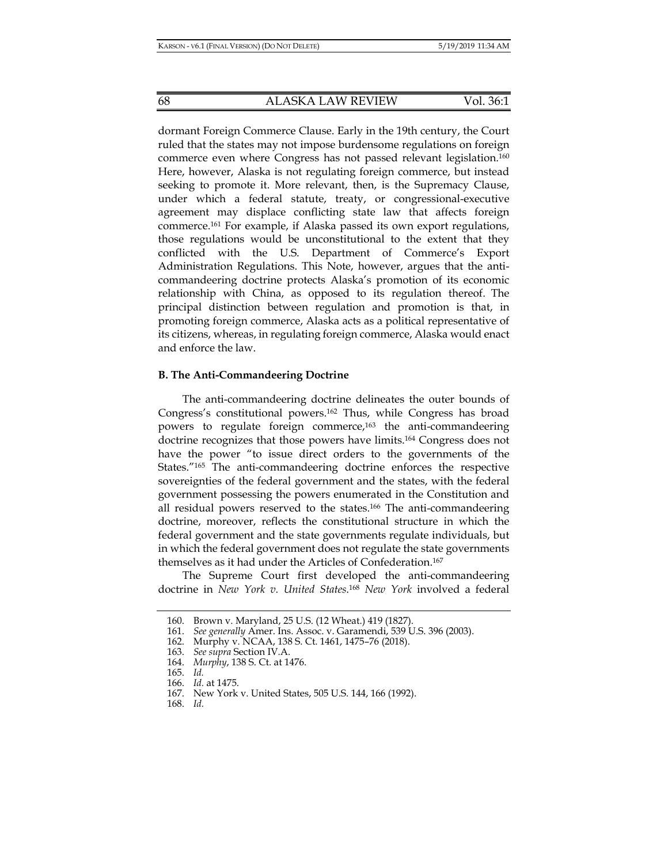dormant Foreign Commerce Clause. Early in the 19th century, the Court ruled that the states may not impose burdensome regulations on foreign commerce even where Congress has not passed relevant legislation.160 Here, however, Alaska is not regulating foreign commerce, but instead seeking to promote it. More relevant, then, is the Supremacy Clause, under which a federal statute, treaty, or congressional-executive agreement may displace conflicting state law that affects foreign commerce.161 For example, if Alaska passed its own export regulations, those regulations would be unconstitutional to the extent that they conflicted with the U.S. Department of Commerce's Export Administration Regulations. This Note, however, argues that the anticommandeering doctrine protects Alaska's promotion of its economic relationship with China, as opposed to its regulation thereof. The principal distinction between regulation and promotion is that, in promoting foreign commerce, Alaska acts as a political representative of its citizens, whereas, in regulating foreign commerce, Alaska would enact and enforce the law.

#### **B. The Anti-Commandeering Doctrine**

The anti-commandeering doctrine delineates the outer bounds of Congress's constitutional powers.162 Thus, while Congress has broad powers to regulate foreign commerce,<sup>163</sup> the anti-commandeering doctrine recognizes that those powers have limits.164 Congress does not have the power "to issue direct orders to the governments of the States."165 The anti-commandeering doctrine enforces the respective sovereignties of the federal government and the states, with the federal government possessing the powers enumerated in the Constitution and all residual powers reserved to the states.166 The anti-commandeering doctrine, moreover, reflects the constitutional structure in which the federal government and the state governments regulate individuals, but in which the federal government does not regulate the state governments themselves as it had under the Articles of Confederation.167

The Supreme Court first developed the anti-commandeering doctrine in *New York v. United States*. <sup>168</sup> *New York* involved a federal

 <sup>160.</sup> Brown v. Maryland, 25 U.S. (12 Wheat.) 419 (1827).

 <sup>161.</sup> *See generally* Amer. Ins. Assoc. v. Garamendi, 539 U.S. 396 (2003).

 <sup>162.</sup> Murphy v. NCAA, 138 S. Ct. 1461, 1475–76 (2018).

 <sup>163.</sup> *See supra* Section IV.A.

 <sup>164.</sup> *Murphy*, 138 S. Ct. at 1476.

 <sup>165.</sup> *Id.* 

 <sup>166.</sup> *Id.* at 1475.

 <sup>167.</sup> New York v. United States, 505 U.S. 144, 166 (1992).

 <sup>168.</sup> *Id.*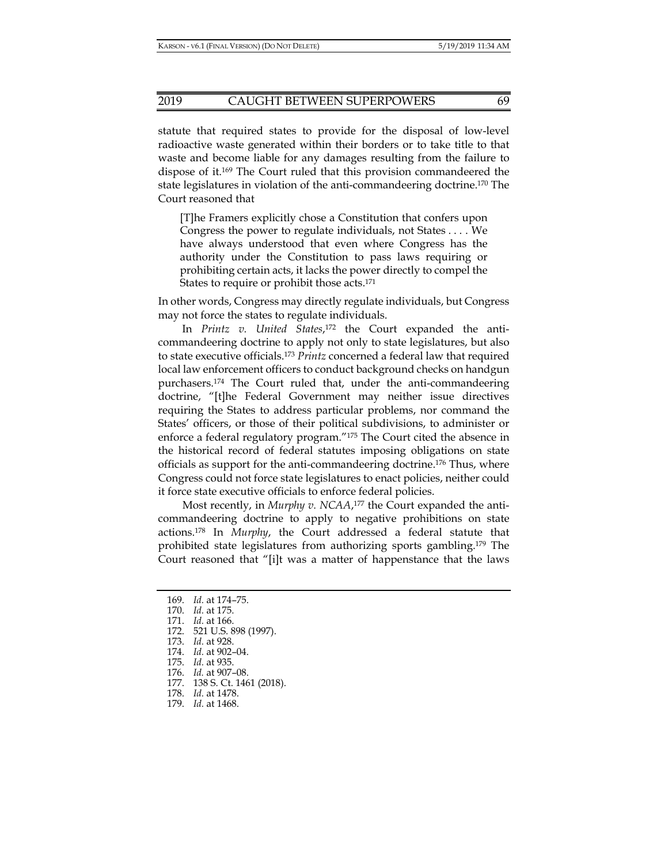#### 2019 CAUGHT BETWEEN SUPERPOWERS 69

statute that required states to provide for the disposal of low-level radioactive waste generated within their borders or to take title to that waste and become liable for any damages resulting from the failure to dispose of it.169 The Court ruled that this provision commandeered the state legislatures in violation of the anti-commandeering doctrine.170 The Court reasoned that

[T]he Framers explicitly chose a Constitution that confers upon Congress the power to regulate individuals, not States . . . . We have always understood that even where Congress has the authority under the Constitution to pass laws requiring or prohibiting certain acts, it lacks the power directly to compel the States to require or prohibit those acts.171

In other words, Congress may directly regulate individuals, but Congress may not force the states to regulate individuals.

In *Printz v. United States*, 172 the Court expanded the anticommandeering doctrine to apply not only to state legislatures, but also to state executive officials.173 *Printz* concerned a federal law that required local law enforcement officers to conduct background checks on handgun purchasers.174 The Court ruled that, under the anti-commandeering doctrine, "[t]he Federal Government may neither issue directives requiring the States to address particular problems, nor command the States' officers, or those of their political subdivisions, to administer or enforce a federal regulatory program."175 The Court cited the absence in the historical record of federal statutes imposing obligations on state officials as support for the anti-commandeering doctrine.176 Thus, where Congress could not force state legislatures to enact policies, neither could it force state executive officials to enforce federal policies.

Most recently, in *Murphy v. NCAA*, 177 the Court expanded the anticommandeering doctrine to apply to negative prohibitions on state actions.178 In *Murphy*, the Court addressed a federal statute that prohibited state legislatures from authorizing sports gambling.179 The Court reasoned that "[i]t was a matter of happenstance that the laws

172. 521 U.S. 898 (1997).

- 178. *Id.* at 1478.
- 179. *Id.* at 1468.

 <sup>169.</sup> *Id.* at 174–75.

 <sup>170.</sup> *Id.* at 175.

 <sup>171.</sup> *Id.* at 166.

 <sup>173.</sup> *Id.* at 928.

 <sup>174.</sup> *Id.* at 902–04.

 <sup>175.</sup> *Id.* at 935.

 <sup>176.</sup> *Id.* at 907–08.

 <sup>177. 138</sup> S. Ct. 1461 (2018).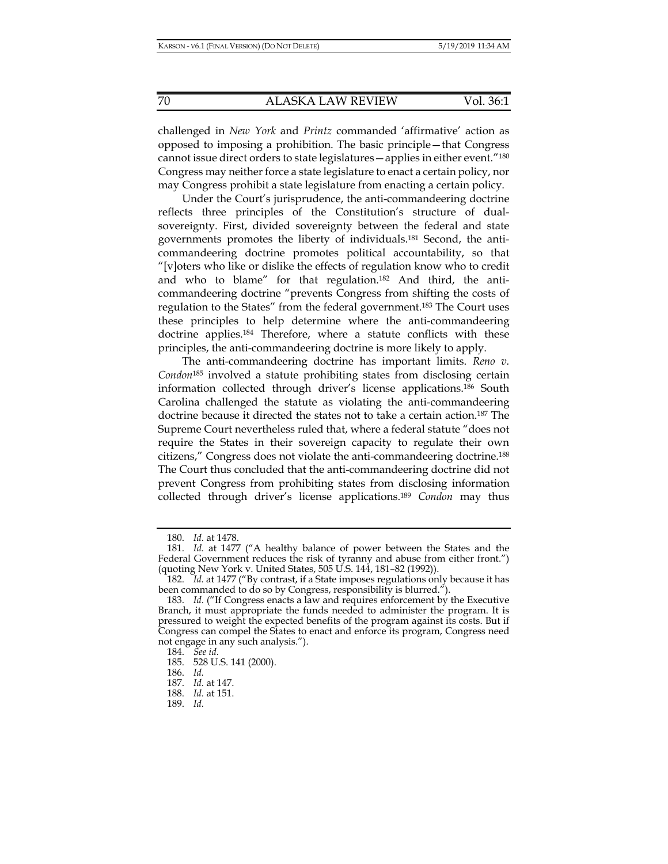challenged in *New York* and *Printz* commanded 'affirmative' action as opposed to imposing a prohibition. The basic principle—that Congress cannot issue direct orders to state legislatures—applies in either event."180 Congress may neither force a state legislature to enact a certain policy, nor may Congress prohibit a state legislature from enacting a certain policy.

Under the Court's jurisprudence, the anti-commandeering doctrine reflects three principles of the Constitution's structure of dualsovereignty. First, divided sovereignty between the federal and state governments promotes the liberty of individuals.181 Second, the anticommandeering doctrine promotes political accountability, so that "[v]oters who like or dislike the effects of regulation know who to credit and who to blame" for that regulation.182 And third, the anticommandeering doctrine "prevents Congress from shifting the costs of regulation to the States" from the federal government.183 The Court uses these principles to help determine where the anti-commandeering doctrine applies.184 Therefore, where a statute conflicts with these principles, the anti-commandeering doctrine is more likely to apply.

The anti-commandeering doctrine has important limits. *Reno v. Condon*185 involved a statute prohibiting states from disclosing certain information collected through driver's license applications.186 South Carolina challenged the statute as violating the anti-commandeering doctrine because it directed the states not to take a certain action.187 The Supreme Court nevertheless ruled that, where a federal statute "does not require the States in their sovereign capacity to regulate their own citizens," Congress does not violate the anti-commandeering doctrine.188 The Court thus concluded that the anti-commandeering doctrine did not prevent Congress from prohibiting states from disclosing information collected through driver's license applications.189 *Condon* may thus

 <sup>180.</sup> *Id.* at 1478.

 <sup>181.</sup> *Id.* at 1477 ("A healthy balance of power between the States and the Federal Government reduces the risk of tyranny and abuse from either front.") (quoting New York v. United States, 505 U.S. 144, 181–82 (1992)).

 <sup>182.</sup> *Id.* at 1477 ("By contrast, if a State imposes regulations only because it has been commanded to do so by Congress, responsibility is blurred.").

 <sup>183.</sup> *Id.* ("If Congress enacts a law and requires enforcement by the Executive Branch, it must appropriate the funds needed to administer the program. It is pressured to weight the expected benefits of the program against its costs. But if Congress can compel the States to enact and enforce its program, Congress need not engage in any such analysis.").

 <sup>184.</sup> *See id.*

 <sup>185. 528</sup> U.S. 141 (2000).

 <sup>186.</sup> *Id.* 

 <sup>187.</sup> *Id.* at 147.

 <sup>188.</sup> *Id.* at 151.

 <sup>189.</sup> *Id.*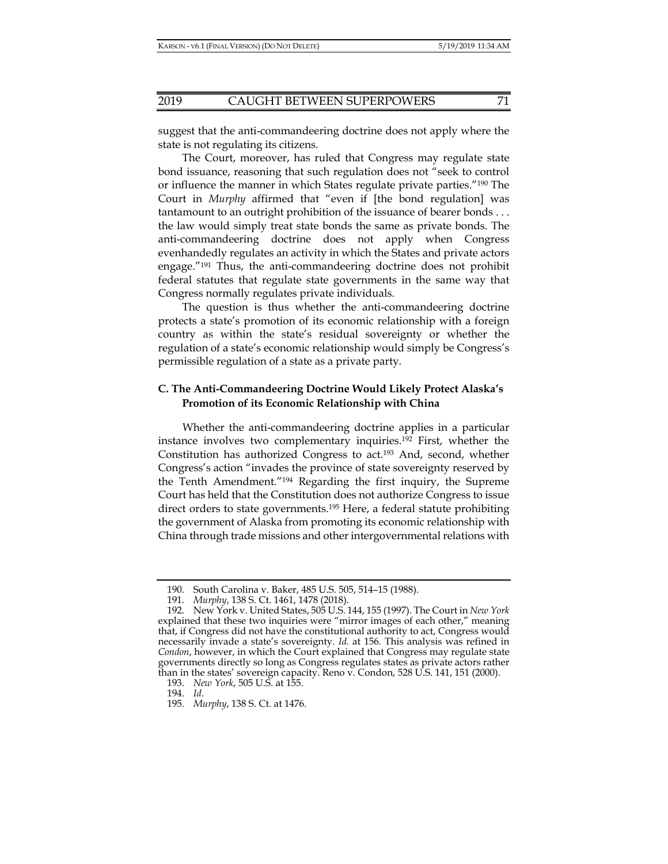suggest that the anti-commandeering doctrine does not apply where the state is not regulating its citizens.

The Court, moreover, has ruled that Congress may regulate state bond issuance, reasoning that such regulation does not "seek to control or influence the manner in which States regulate private parties."190 The Court in *Murphy* affirmed that "even if [the bond regulation] was tantamount to an outright prohibition of the issuance of bearer bonds . . . the law would simply treat state bonds the same as private bonds. The anti-commandeering doctrine does not apply when Congress evenhandedly regulates an activity in which the States and private actors engage."191 Thus, the anti-commandeering doctrine does not prohibit federal statutes that regulate state governments in the same way that Congress normally regulates private individuals.

The question is thus whether the anti-commandeering doctrine protects a state's promotion of its economic relationship with a foreign country as within the state's residual sovereignty or whether the regulation of a state's economic relationship would simply be Congress's permissible regulation of a state as a private party.

# **C. The Anti-Commandeering Doctrine Would Likely Protect Alaska's Promotion of its Economic Relationship with China**

Whether the anti-commandeering doctrine applies in a particular instance involves two complementary inquiries.192 First, whether the Constitution has authorized Congress to act.<sup>193</sup> And, second, whether Congress's action "invades the province of state sovereignty reserved by the Tenth Amendment."194 Regarding the first inquiry, the Supreme Court has held that the Constitution does not authorize Congress to issue direct orders to state governments.195 Here, a federal statute prohibiting the government of Alaska from promoting its economic relationship with China through trade missions and other intergovernmental relations with

194. *Id.*

 <sup>190.</sup> South Carolina v. Baker, 485 U.S. 505, 514–15 (1988).

 <sup>191.</sup> *Murphy*, 138 S. Ct. 1461, 1478 (2018).

 <sup>192.</sup> New York v. United States, 505 U.S. 144, 155 (1997). The Court in *New York* explained that these two inquiries were "mirror images of each other," meaning that, if Congress did not have the constitutional authority to act, Congress would necessarily invade a state's sovereignty. *Id.* at 156*.* This analysis was refined in *Condon*, however, in which the Court explained that Congress may regulate state governments directly so long as Congress regulates states as private actors rather than in the states' sovereign capacity. Reno v. Condon, 528 U.S. 141, 151 (2000).

 <sup>193.</sup> *New York*, 505 U.S. at 155.

 <sup>195.</sup> *Murphy*, 138 S. Ct. at 1476.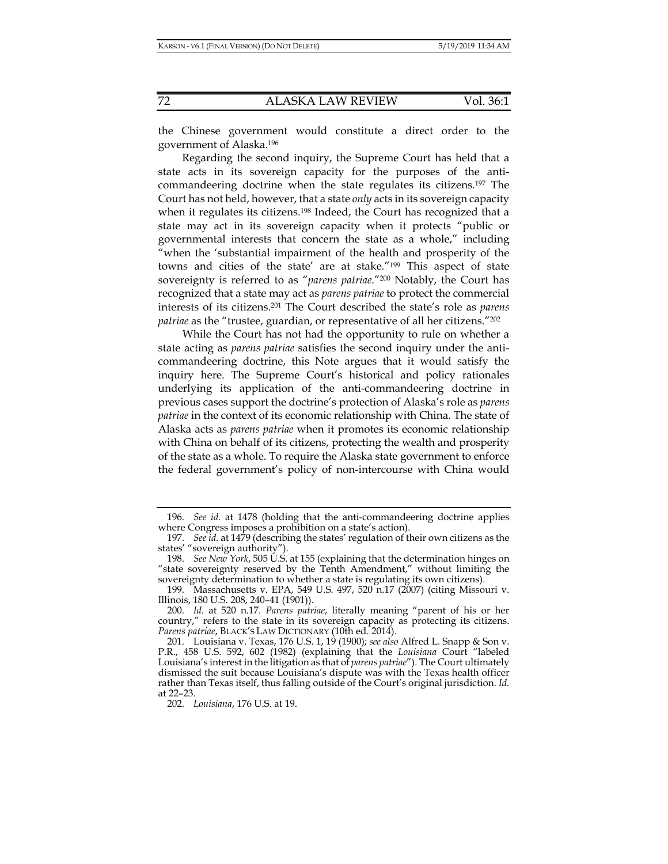the Chinese government would constitute a direct order to the government of Alaska.196

Regarding the second inquiry, the Supreme Court has held that a state acts in its sovereign capacity for the purposes of the anticommandeering doctrine when the state regulates its citizens.197 The Court has not held, however, that a state *only* acts in its sovereign capacity when it regulates its citizens.<sup>198</sup> Indeed, the Court has recognized that a state may act in its sovereign capacity when it protects "public or governmental interests that concern the state as a whole," including "when the 'substantial impairment of the health and prosperity of the towns and cities of the state' are at stake."199 This aspect of state sovereignty is referred to as "*parens patriae*."200 Notably, the Court has recognized that a state may act as *parens patriae* to protect the commercial interests of its citizens.201 The Court described the state's role as *parens patriae* as the "trustee, guardian, or representative of all her citizens."<sup>202</sup>

While the Court has not had the opportunity to rule on whether a state acting as *parens patriae* satisfies the second inquiry under the anticommandeering doctrine, this Note argues that it would satisfy the inquiry here. The Supreme Court's historical and policy rationales underlying its application of the anti-commandeering doctrine in previous cases support the doctrine's protection of Alaska's role as *parens patriae* in the context of its economic relationship with China. The state of Alaska acts as *parens patriae* when it promotes its economic relationship with China on behalf of its citizens, protecting the wealth and prosperity of the state as a whole. To require the Alaska state government to enforce the federal government's policy of non-intercourse with China would

 <sup>196.</sup> *See id.* at 1478 (holding that the anti-commandeering doctrine applies where Congress imposes a prohibition on a state's action).

 <sup>197.</sup> *See id.* at 1479 (describing the states' regulation of their own citizens as the states' "sovereign authority").

 <sup>198.</sup> *See New York*, 505 U.S. at 155 (explaining that the determination hinges on "state sovereignty reserved by the Tenth Amendment," without limiting the sovereignty determination to whether a state is regulating its own citizens).

 <sup>199.</sup> Massachusetts v. EPA, 549 U.S. 497, 520 n.17 (2007) (citing Missouri v. Illinois, 180 U.S. 208, 240–41 (1901)).

 <sup>200.</sup> *Id.* at 520 n.17. *Parens patriae*, literally meaning "parent of his or her country," refers to the state in its sovereign capacity as protecting its citizens. *Parens patriae*, BLACK'S LAW DICTIONARY (10th ed. 2014).

 <sup>201.</sup> Louisiana v. Texas, 176 U.S. 1, 19 (1900); *see also* Alfred L. Snapp & Son v. P.R., 458 U.S. 592, 602 (1982) (explaining that the *Louisiana* Court "labeled Louisiana's interest in the litigation as that of *parens patriae*"). The Court ultimately dismissed the suit because Louisiana's dispute was with the Texas health officer rather than Texas itself, thus falling outside of the Court's original jurisdiction. *Id.* at 22–23.

 <sup>202.</sup> *Louisiana*, 176 U.S. at 19.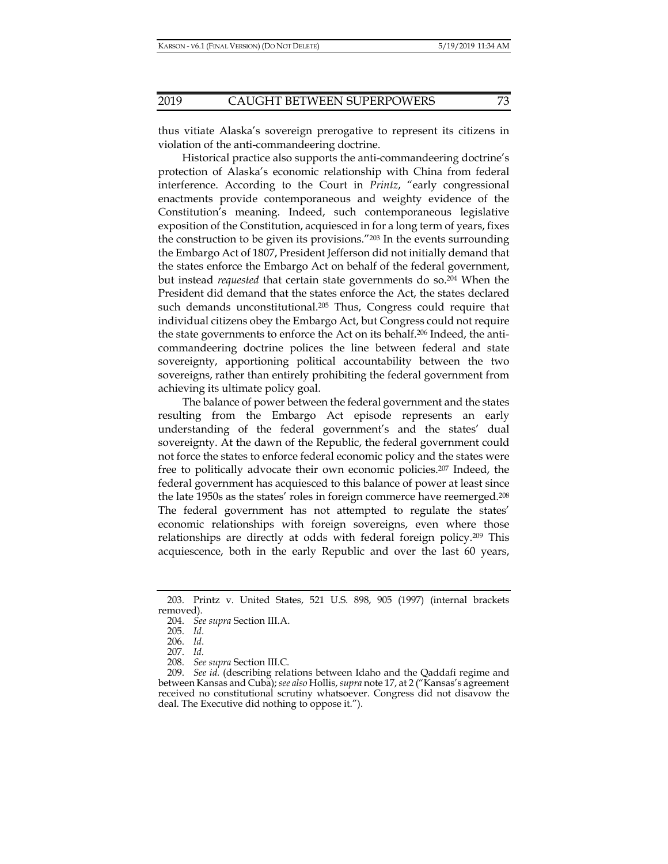thus vitiate Alaska's sovereign prerogative to represent its citizens in violation of the anti-commandeering doctrine.

Historical practice also supports the anti-commandeering doctrine's protection of Alaska's economic relationship with China from federal interference. According to the Court in *Printz*, "early congressional enactments provide contemporaneous and weighty evidence of the Constitution's meaning. Indeed, such contemporaneous legislative exposition of the Constitution, acquiesced in for a long term of years, fixes the construction to be given its provisions."203 In the events surrounding the Embargo Act of 1807, President Jefferson did not initially demand that the states enforce the Embargo Act on behalf of the federal government, but instead *requested* that certain state governments do so.204 When the President did demand that the states enforce the Act, the states declared such demands unconstitutional.<sup>205</sup> Thus, Congress could require that individual citizens obey the Embargo Act, but Congress could not require the state governments to enforce the Act on its behalf.206 Indeed, the anticommandeering doctrine polices the line between federal and state sovereignty, apportioning political accountability between the two sovereigns, rather than entirely prohibiting the federal government from achieving its ultimate policy goal.

The balance of power between the federal government and the states resulting from the Embargo Act episode represents an early understanding of the federal government's and the states' dual sovereignty. At the dawn of the Republic, the federal government could not force the states to enforce federal economic policy and the states were free to politically advocate their own economic policies.207 Indeed, the federal government has acquiesced to this balance of power at least since the late 1950s as the states' roles in foreign commerce have reemerged.208 The federal government has not attempted to regulate the states' economic relationships with foreign sovereigns, even where those relationships are directly at odds with federal foreign policy.209 This acquiescence, both in the early Republic and over the last 60 years,

 <sup>203.</sup> Printz v. United States, 521 U.S. 898, 905 (1997) (internal brackets removed).

 <sup>204.</sup> *See supra* Section III.A.

 <sup>205.</sup> *Id*.

 <sup>206.</sup> *Id*.

 <sup>207.</sup> *Id.*

 <sup>208.</sup> *See supra* Section III.C.

 <sup>209.</sup> *See id.* (describing relations between Idaho and the Qaddafi regime and between Kansas and Cuba); *see also* Hollis, *supra* note 17, at 2 ("Kansas's agreement received no constitutional scrutiny whatsoever. Congress did not disavow the deal. The Executive did nothing to oppose it.").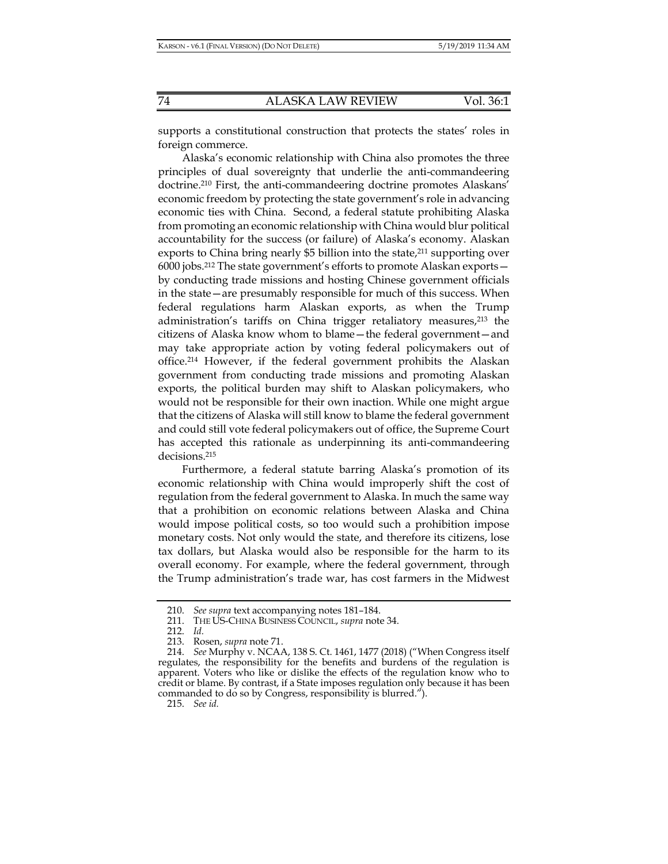supports a constitutional construction that protects the states' roles in foreign commerce.

Alaska's economic relationship with China also promotes the three principles of dual sovereignty that underlie the anti-commandeering doctrine.210 First, the anti-commandeering doctrine promotes Alaskans' economic freedom by protecting the state government's role in advancing economic ties with China. Second, a federal statute prohibiting Alaska from promoting an economic relationship with China would blur political accountability for the success (or failure) of Alaska's economy. Alaskan exports to China bring nearly \$5 billion into the state, $2^{11}$  supporting over 6000 jobs.212 The state government's efforts to promote Alaskan exports by conducting trade missions and hosting Chinese government officials in the state—are presumably responsible for much of this success. When federal regulations harm Alaskan exports, as when the Trump administration's tariffs on China trigger retaliatory measures,<sup>213</sup> the citizens of Alaska know whom to blame—the federal government—and may take appropriate action by voting federal policymakers out of office.214 However, if the federal government prohibits the Alaskan government from conducting trade missions and promoting Alaskan exports, the political burden may shift to Alaskan policymakers, who would not be responsible for their own inaction. While one might argue that the citizens of Alaska will still know to blame the federal government and could still vote federal policymakers out of office, the Supreme Court has accepted this rationale as underpinning its anti-commandeering decisions.215

Furthermore, a federal statute barring Alaska's promotion of its economic relationship with China would improperly shift the cost of regulation from the federal government to Alaska. In much the same way that a prohibition on economic relations between Alaska and China would impose political costs, so too would such a prohibition impose monetary costs. Not only would the state, and therefore its citizens, lose tax dollars, but Alaska would also be responsible for the harm to its overall economy. For example, where the federal government, through the Trump administration's trade war, has cost farmers in the Midwest

 <sup>210.</sup> *See supra* text accompanying notes 181–184.

 <sup>211.</sup> THE US-CHINA BUSINESS COUNCIL, *supra* note 34.

 <sup>212.</sup> *Id.*

 <sup>213.</sup> Rosen, *supra* note 71.

 <sup>214.</sup> *See* Murphy v. NCAA, 138 S. Ct. 1461, 1477 (2018) ("When Congress itself regulates, the responsibility for the benefits and burdens of the regulation is apparent. Voters who like or dislike the effects of the regulation know who to credit or blame. By contrast, if a State imposes regulation only because it has been commanded to do so by Congress, responsibility is blurred.").

 <sup>215.</sup> *See id.*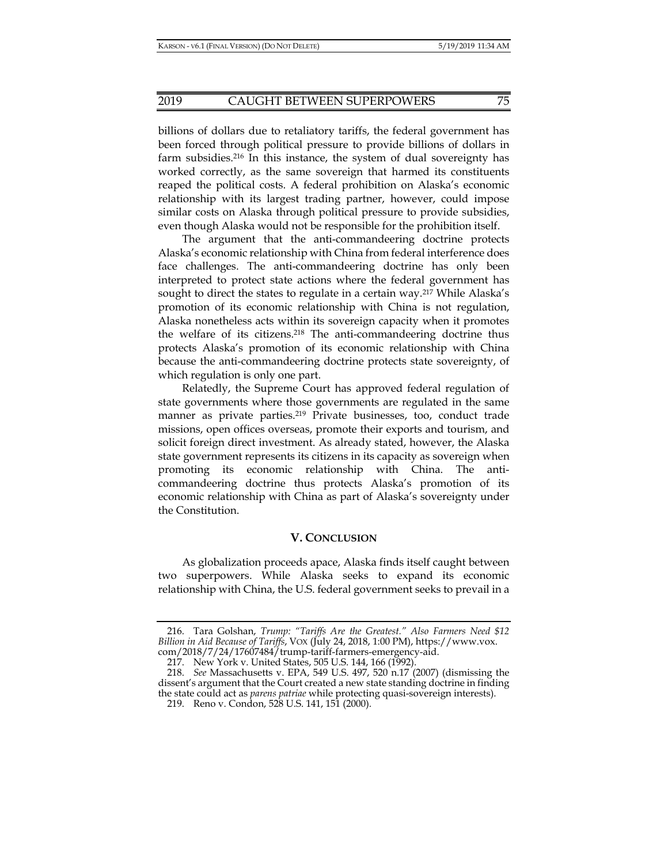billions of dollars due to retaliatory tariffs, the federal government has been forced through political pressure to provide billions of dollars in farm subsidies.216 In this instance, the system of dual sovereignty has worked correctly, as the same sovereign that harmed its constituents reaped the political costs. A federal prohibition on Alaska's economic relationship with its largest trading partner, however, could impose similar costs on Alaska through political pressure to provide subsidies, even though Alaska would not be responsible for the prohibition itself.

The argument that the anti-commandeering doctrine protects Alaska's economic relationship with China from federal interference does face challenges. The anti-commandeering doctrine has only been interpreted to protect state actions where the federal government has sought to direct the states to regulate in a certain way.<sup>217</sup> While Alaska's promotion of its economic relationship with China is not regulation, Alaska nonetheless acts within its sovereign capacity when it promotes the welfare of its citizens.218 The anti-commandeering doctrine thus protects Alaska's promotion of its economic relationship with China because the anti-commandeering doctrine protects state sovereignty, of which regulation is only one part.

Relatedly, the Supreme Court has approved federal regulation of state governments where those governments are regulated in the same manner as private parties.<sup>219</sup> Private businesses, too, conduct trade missions, open offices overseas, promote their exports and tourism, and solicit foreign direct investment. As already stated, however, the Alaska state government represents its citizens in its capacity as sovereign when promoting its economic relationship with China. The anticommandeering doctrine thus protects Alaska's promotion of its economic relationship with China as part of Alaska's sovereignty under the Constitution.

### **V. CONCLUSION**

As globalization proceeds apace, Alaska finds itself caught between two superpowers. While Alaska seeks to expand its economic relationship with China, the U.S. federal government seeks to prevail in a

 <sup>216.</sup> Tara Golshan, *Trump: "Tariffs Are the Greatest." Also Farmers Need \$12 Billion in Aid Because of Tariffs*, VOX (July 24, 2018, 1:00 PM), https://www.vox. com/2018/7/24/17607484/trump-tariff-farmers-emergency-aid.

 <sup>217.</sup> New York v. United States, 505 U.S. 144, 166 (1992).

 <sup>218.</sup> *See* Massachusetts v. EPA, 549 U.S. 497, 520 n.17 (2007) (dismissing the dissent's argument that the Court created a new state standing doctrine in finding the state could act as *parens patriae* while protecting quasi-sovereign interests). 219. Reno v. Condon, 528 U.S. 141, 151 (2000).